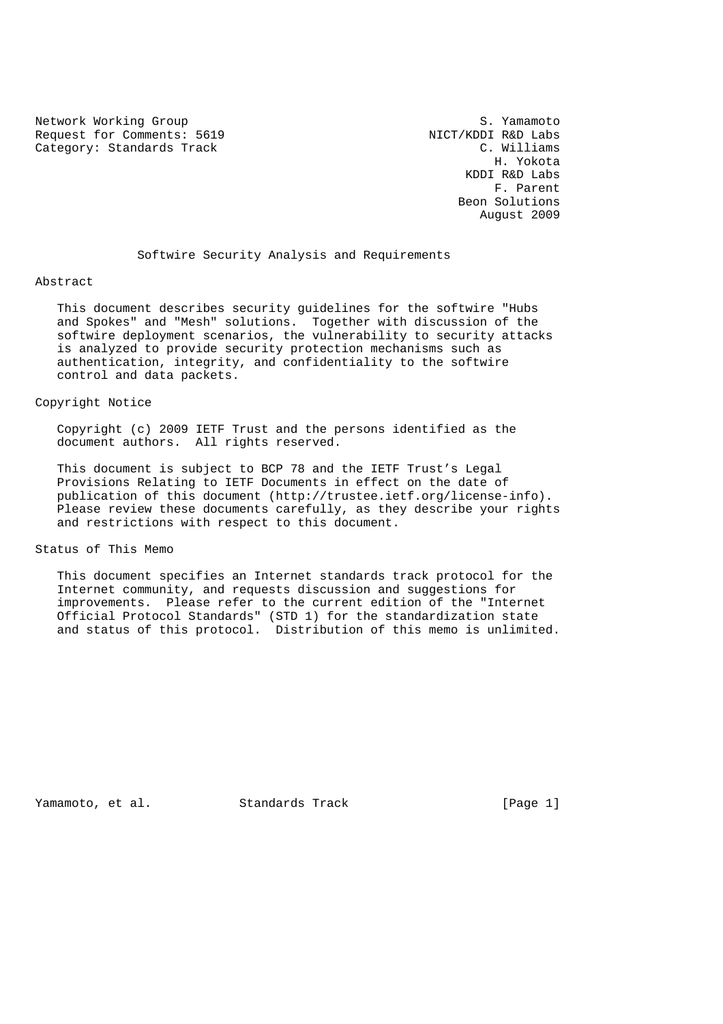Network Working Group<br>Request for Comments: 5619 S. Vamamoto Request for Comments: 5619 NICT/KDDI R&D Labs<br>
Category: Standards Track C. Williams Category: Standards Track

 H. Yokota KDDI R&D Labs F. Parent Beon Solutions August 2009

Softwire Security Analysis and Requirements

#### Abstract

 This document describes security guidelines for the softwire "Hubs and Spokes" and "Mesh" solutions. Together with discussion of the softwire deployment scenarios, the vulnerability to security attacks is analyzed to provide security protection mechanisms such as authentication, integrity, and confidentiality to the softwire control and data packets.

#### Copyright Notice

 Copyright (c) 2009 IETF Trust and the persons identified as the document authors. All rights reserved.

 This document is subject to BCP 78 and the IETF Trust's Legal Provisions Relating to IETF Documents in effect on the date of publication of this document (http://trustee.ietf.org/license-info). Please review these documents carefully, as they describe your rights and restrictions with respect to this document.

## Status of This Memo

 This document specifies an Internet standards track protocol for the Internet community, and requests discussion and suggestions for improvements. Please refer to the current edition of the "Internet Official Protocol Standards" (STD 1) for the standardization state and status of this protocol. Distribution of this memo is unlimited.

Yamamoto, et al. Standards Track [Page 1]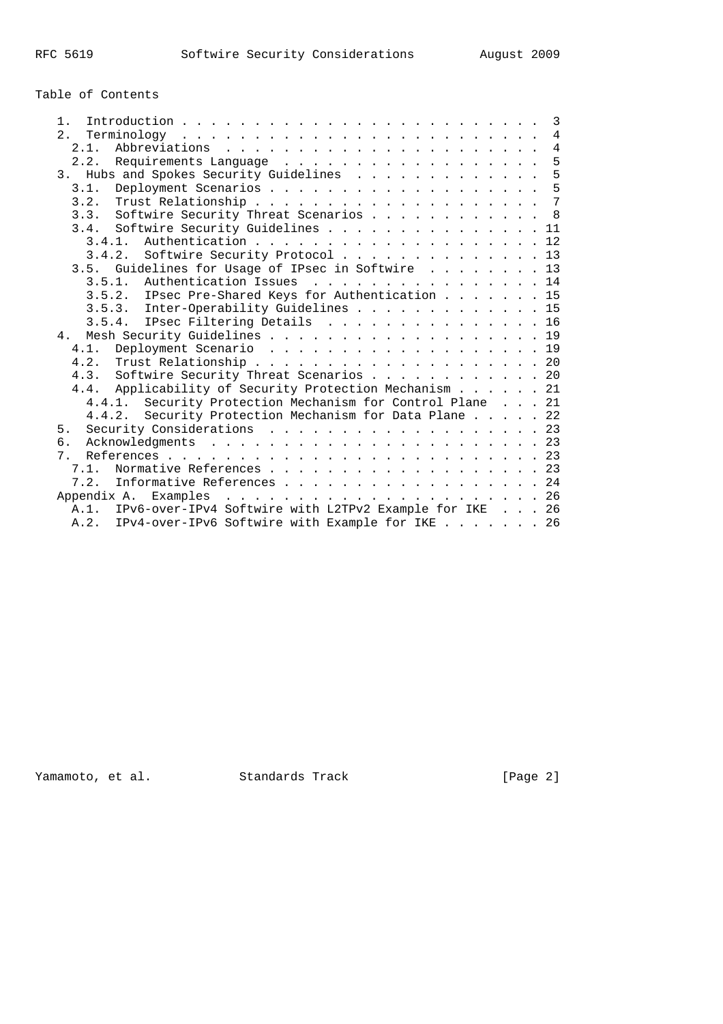# Table of Contents

| $1 \cdot$                                                   |  |  |  | $\overline{3}$ |
|-------------------------------------------------------------|--|--|--|----------------|
| 2.                                                          |  |  |  |                |
| 2.1.                                                        |  |  |  | $\overline{4}$ |
| Requirements Language<br>2.2.                               |  |  |  | 5              |
| Hubs and Spokes Security Guidelines<br>3 <sub>1</sub>       |  |  |  | 5              |
| 3.1.                                                        |  |  |  | 5              |
|                                                             |  |  |  |                |
| 3.3. Softwire Security Threat Scenarios 8                   |  |  |  |                |
| 3.4. Softwire Security Guidelines 11                        |  |  |  |                |
|                                                             |  |  |  |                |
| 3.4.2. Softwire Security Protocol 13                        |  |  |  |                |
| 3.5. Guidelines for Usage of IPsec in Softwire 13           |  |  |  |                |
| 3.5.1. Authentication Issues 14                             |  |  |  |                |
| 3.5.2. IPsec Pre-Shared Keys for Authentication 15          |  |  |  |                |
| 3.5.3. Inter-Operability Guidelines 15                      |  |  |  |                |
| 3.5.4. IPsec Filtering Details 16                           |  |  |  |                |
| 4. Mesh Security Guidelines 19                              |  |  |  |                |
| Deployment Scenario 19<br>4.1.                              |  |  |  |                |
|                                                             |  |  |  |                |
| 4.3. Softwire Security Threat Scenarios 20                  |  |  |  |                |
| 4.4. Applicability of Security Protection Mechanism 21      |  |  |  |                |
| 4.4.1. Security Protection Mechanism for Control Plane 21   |  |  |  |                |
| Security Protection Mechanism for Data Plane 22<br>4.4.2.   |  |  |  |                |
| Security Considerations 23<br>5.                            |  |  |  |                |
| б.                                                          |  |  |  |                |
| $7^{\circ}$                                                 |  |  |  |                |
| 7.1. Normative References 23                                |  |  |  |                |
| Informative References 24<br>7.2.                           |  |  |  |                |
|                                                             |  |  |  |                |
| A.1. IPv6-over-IPv4 Softwire with L2TPv2 Example for IKE 26 |  |  |  |                |
| A.2. IPv4-over-IPv6 Softwire with Example for IKE 26        |  |  |  |                |

Yamamoto, et al. Standards Track [Page 2]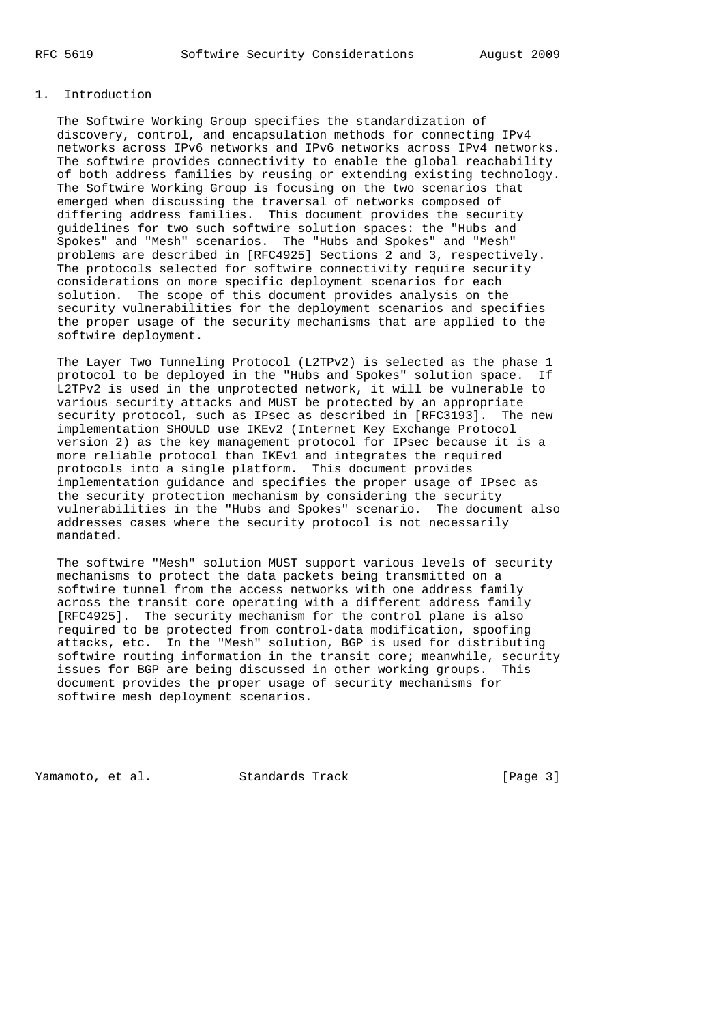# 1. Introduction

 The Softwire Working Group specifies the standardization of discovery, control, and encapsulation methods for connecting IPv4 networks across IPv6 networks and IPv6 networks across IPv4 networks. The softwire provides connectivity to enable the global reachability of both address families by reusing or extending existing technology. The Softwire Working Group is focusing on the two scenarios that emerged when discussing the traversal of networks composed of differing address families. This document provides the security guidelines for two such softwire solution spaces: the "Hubs and Spokes" and "Mesh" scenarios. The "Hubs and Spokes" and "Mesh" problems are described in [RFC4925] Sections 2 and 3, respectively. The protocols selected for softwire connectivity require security considerations on more specific deployment scenarios for each solution. The scope of this document provides analysis on the security vulnerabilities for the deployment scenarios and specifies the proper usage of the security mechanisms that are applied to the softwire deployment.

 The Layer Two Tunneling Protocol (L2TPv2) is selected as the phase 1 protocol to be deployed in the "Hubs and Spokes" solution space. If L2TPv2 is used in the unprotected network, it will be vulnerable to various security attacks and MUST be protected by an appropriate security protocol, such as IPsec as described in [RFC3193]. The new implementation SHOULD use IKEv2 (Internet Key Exchange Protocol version 2) as the key management protocol for IPsec because it is a more reliable protocol than IKEv1 and integrates the required protocols into a single platform. This document provides implementation guidance and specifies the proper usage of IPsec as the security protection mechanism by considering the security vulnerabilities in the "Hubs and Spokes" scenario. The document also addresses cases where the security protocol is not necessarily mandated.

 The softwire "Mesh" solution MUST support various levels of security mechanisms to protect the data packets being transmitted on a softwire tunnel from the access networks with one address family across the transit core operating with a different address family [RFC4925]. The security mechanism for the control plane is also required to be protected from control-data modification, spoofing attacks, etc. In the "Mesh" solution, BGP is used for distributing softwire routing information in the transit core; meanwhile, security issues for BGP are being discussed in other working groups. This document provides the proper usage of security mechanisms for softwire mesh deployment scenarios.

Yamamoto, et al. Standards Track [Page 3]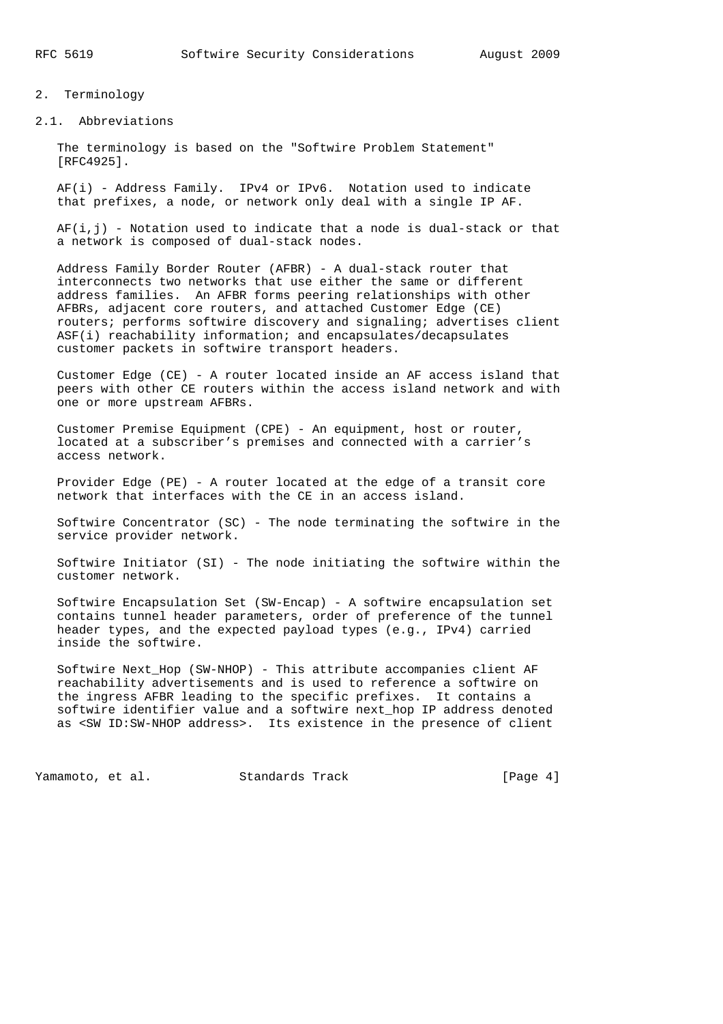- 2. Terminology
- 2.1. Abbreviations

 The terminology is based on the "Softwire Problem Statement" [RFC4925].

 AF(i) - Address Family. IPv4 or IPv6. Notation used to indicate that prefixes, a node, or network only deal with a single IP AF.

 $AF(i,j)$  - Notation used to indicate that a node is dual-stack or that a network is composed of dual-stack nodes.

 Address Family Border Router (AFBR) - A dual-stack router that interconnects two networks that use either the same or different address families. An AFBR forms peering relationships with other AFBRs, adjacent core routers, and attached Customer Edge (CE) routers; performs softwire discovery and signaling; advertises client ASF(i) reachability information; and encapsulates/decapsulates customer packets in softwire transport headers.

 Customer Edge (CE) - A router located inside an AF access island that peers with other CE routers within the access island network and with one or more upstream AFBRs.

 Customer Premise Equipment (CPE) - An equipment, host or router, located at a subscriber's premises and connected with a carrier's access network.

 Provider Edge (PE) - A router located at the edge of a transit core network that interfaces with the CE in an access island.

 Softwire Concentrator (SC) - The node terminating the softwire in the service provider network.

 Softwire Initiator (SI) - The node initiating the softwire within the customer network.

 Softwire Encapsulation Set (SW-Encap) - A softwire encapsulation set contains tunnel header parameters, order of preference of the tunnel header types, and the expected payload types (e.g., IPv4) carried inside the softwire.

 Softwire Next\_Hop (SW-NHOP) - This attribute accompanies client AF reachability advertisements and is used to reference a softwire on the ingress AFBR leading to the specific prefixes. It contains a softwire identifier value and a softwire next\_hop IP address denoted as <SW ID:SW-NHOP address>. Its existence in the presence of client

Yamamoto, et al. Standards Track [Page 4]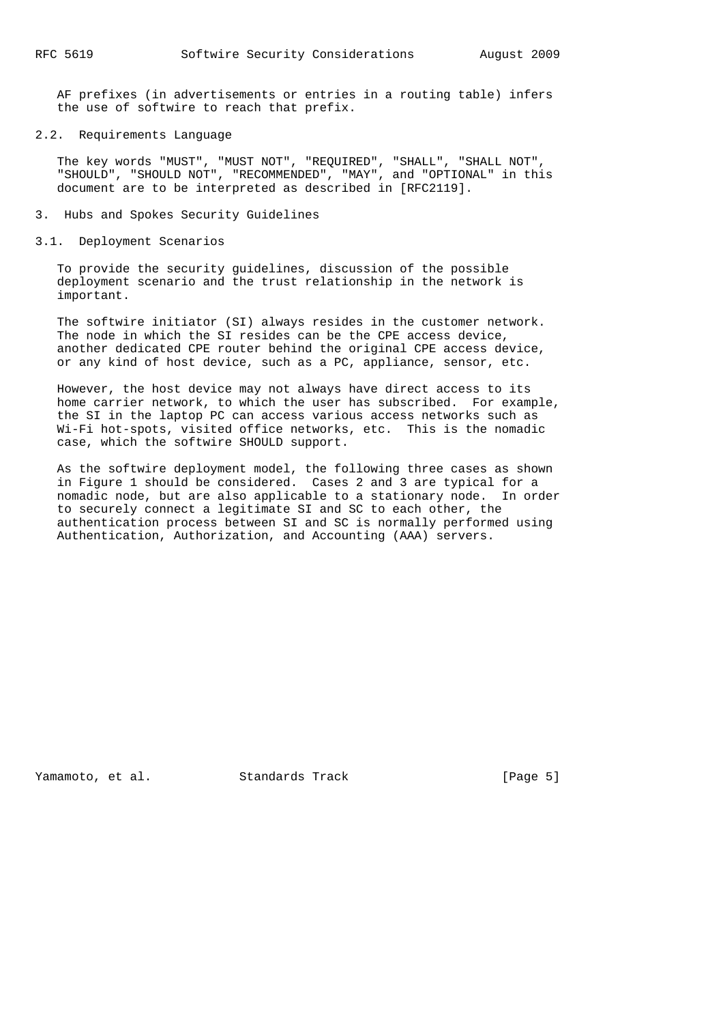AF prefixes (in advertisements or entries in a routing table) infers the use of softwire to reach that prefix.

#### 2.2. Requirements Language

 The key words "MUST", "MUST NOT", "REQUIRED", "SHALL", "SHALL NOT", "SHOULD", "SHOULD NOT", "RECOMMENDED", "MAY", and "OPTIONAL" in this document are to be interpreted as described in [RFC2119].

- 3. Hubs and Spokes Security Guidelines
- 3.1. Deployment Scenarios

 To provide the security guidelines, discussion of the possible deployment scenario and the trust relationship in the network is important.

 The softwire initiator (SI) always resides in the customer network. The node in which the SI resides can be the CPE access device, another dedicated CPE router behind the original CPE access device, or any kind of host device, such as a PC, appliance, sensor, etc.

 However, the host device may not always have direct access to its home carrier network, to which the user has subscribed. For example, the SI in the laptop PC can access various access networks such as Wi-Fi hot-spots, visited office networks, etc. This is the nomadic case, which the softwire SHOULD support.

 As the softwire deployment model, the following three cases as shown in Figure 1 should be considered. Cases 2 and 3 are typical for a nomadic node, but are also applicable to a stationary node. In order to securely connect a legitimate SI and SC to each other, the authentication process between SI and SC is normally performed using Authentication, Authorization, and Accounting (AAA) servers.

Yamamoto, et al. Standards Track [Page 5]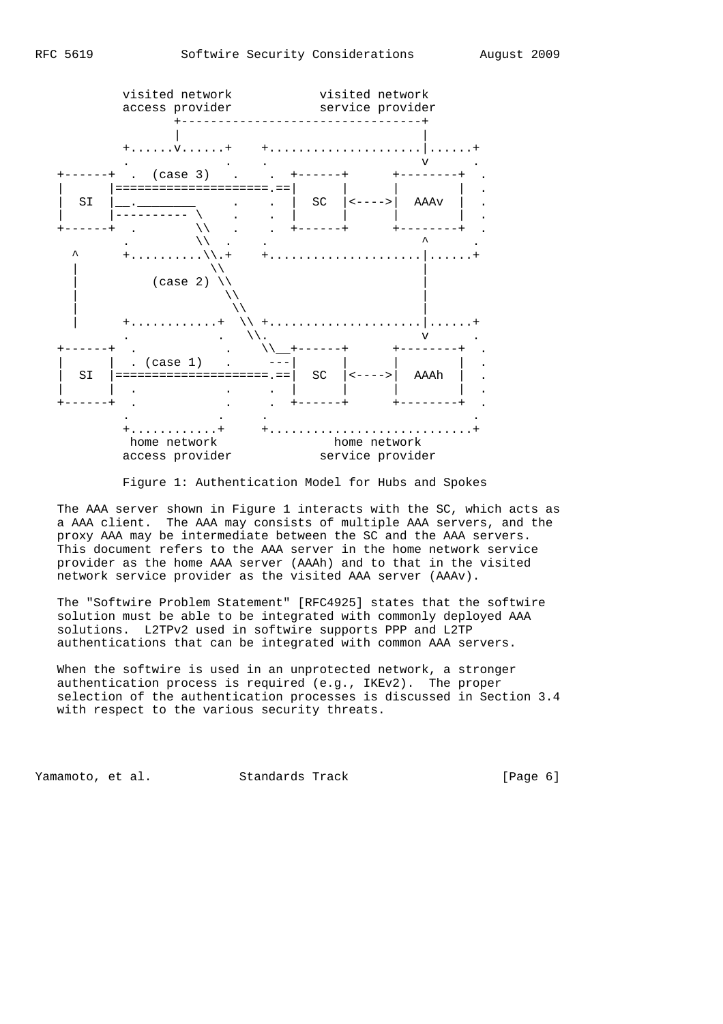

Figure 1: Authentication Model for Hubs and Spokes

 The AAA server shown in Figure 1 interacts with the SC, which acts as a AAA client. The AAA may consists of multiple AAA servers, and the proxy AAA may be intermediate between the SC and the AAA servers. This document refers to the AAA server in the home network service provider as the home AAA server (AAAh) and to that in the visited network service provider as the visited AAA server (AAAv).

 The "Softwire Problem Statement" [RFC4925] states that the softwire solution must be able to be integrated with commonly deployed AAA solutions. L2TPv2 used in softwire supports PPP and L2TP authentications that can be integrated with common AAA servers.

 When the softwire is used in an unprotected network, a stronger authentication process is required (e.g., IKEv2). The proper selection of the authentication processes is discussed in Section 3.4 with respect to the various security threats.

Yamamoto, et al. Standards Track [Page 6]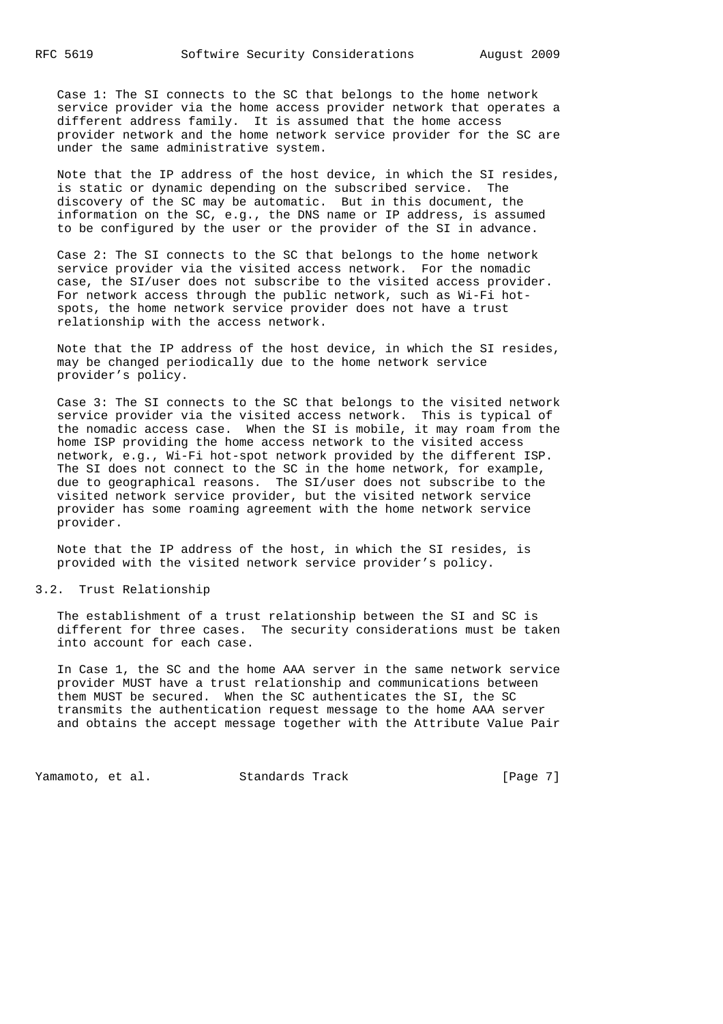Case 1: The SI connects to the SC that belongs to the home network service provider via the home access provider network that operates a different address family. It is assumed that the home access provider network and the home network service provider for the SC are under the same administrative system.

 Note that the IP address of the host device, in which the SI resides, is static or dynamic depending on the subscribed service. The discovery of the SC may be automatic. But in this document, the information on the SC, e.g., the DNS name or IP address, is assumed to be configured by the user or the provider of the SI in advance.

 Case 2: The SI connects to the SC that belongs to the home network service provider via the visited access network. For the nomadic case, the SI/user does not subscribe to the visited access provider. For network access through the public network, such as Wi-Fi hot spots, the home network service provider does not have a trust relationship with the access network.

 Note that the IP address of the host device, in which the SI resides, may be changed periodically due to the home network service provider's policy.

 Case 3: The SI connects to the SC that belongs to the visited network service provider via the visited access network. This is typical of the nomadic access case. When the SI is mobile, it may roam from the home ISP providing the home access network to the visited access network, e.g., Wi-Fi hot-spot network provided by the different ISP. The SI does not connect to the SC in the home network, for example, due to geographical reasons. The SI/user does not subscribe to the visited network service provider, but the visited network service provider has some roaming agreement with the home network service provider.

 Note that the IP address of the host, in which the SI resides, is provided with the visited network service provider's policy.

3.2. Trust Relationship

 The establishment of a trust relationship between the SI and SC is different for three cases. The security considerations must be taken into account for each case.

 In Case 1, the SC and the home AAA server in the same network service provider MUST have a trust relationship and communications between them MUST be secured. When the SC authenticates the SI, the SC transmits the authentication request message to the home AAA server and obtains the accept message together with the Attribute Value Pair

Yamamoto, et al. Standards Track [Page 7]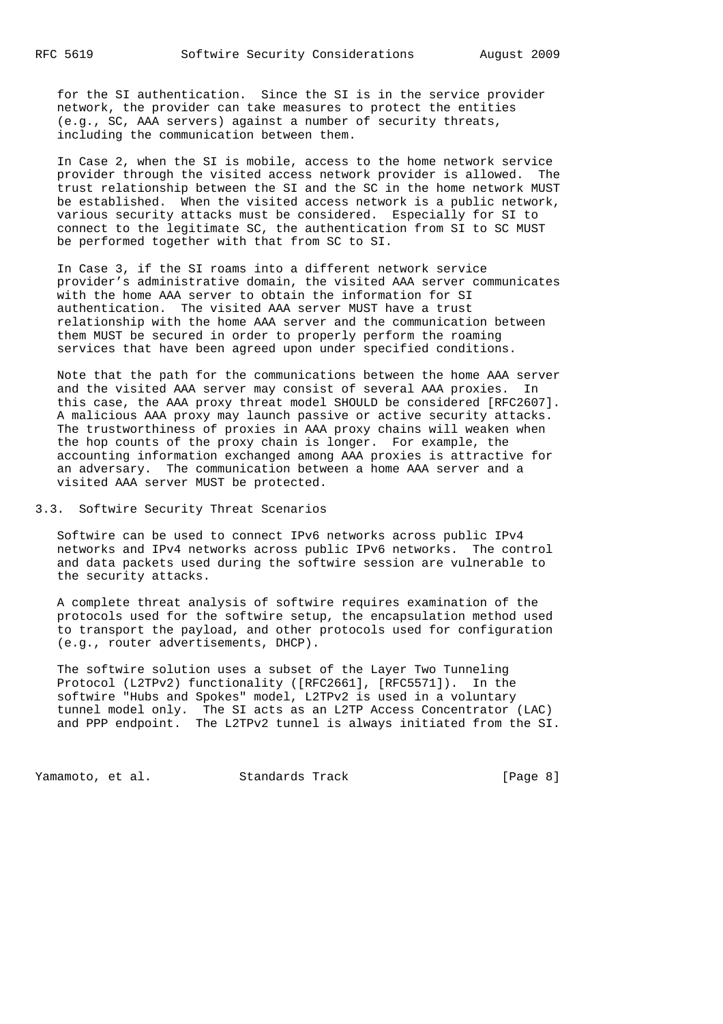for the SI authentication. Since the SI is in the service provider network, the provider can take measures to protect the entities (e.g., SC, AAA servers) against a number of security threats, including the communication between them.

 In Case 2, when the SI is mobile, access to the home network service provider through the visited access network provider is allowed. The trust relationship between the SI and the SC in the home network MUST be established. When the visited access network is a public network, various security attacks must be considered. Especially for SI to connect to the legitimate SC, the authentication from SI to SC MUST be performed together with that from SC to SI.

 In Case 3, if the SI roams into a different network service provider's administrative domain, the visited AAA server communicates with the home AAA server to obtain the information for SI authentication. The visited AAA server MUST have a trust relationship with the home AAA server and the communication between them MUST be secured in order to properly perform the roaming services that have been agreed upon under specified conditions.

 Note that the path for the communications between the home AAA server and the visited AAA server may consist of several AAA proxies. In this case, the AAA proxy threat model SHOULD be considered [RFC2607]. A malicious AAA proxy may launch passive or active security attacks. The trustworthiness of proxies in AAA proxy chains will weaken when the hop counts of the proxy chain is longer. For example, the accounting information exchanged among AAA proxies is attractive for an adversary. The communication between a home AAA server and a visited AAA server MUST be protected.

3.3. Softwire Security Threat Scenarios

 Softwire can be used to connect IPv6 networks across public IPv4 networks and IPv4 networks across public IPv6 networks. The control and data packets used during the softwire session are vulnerable to the security attacks.

 A complete threat analysis of softwire requires examination of the protocols used for the softwire setup, the encapsulation method used to transport the payload, and other protocols used for configuration (e.g., router advertisements, DHCP).

 The softwire solution uses a subset of the Layer Two Tunneling Protocol (L2TPv2) functionality ([RFC2661], [RFC5571]). In the softwire "Hubs and Spokes" model, L2TPv2 is used in a voluntary tunnel model only. The SI acts as an L2TP Access Concentrator (LAC) and PPP endpoint. The L2TPv2 tunnel is always initiated from the SI.

Yamamoto, et al. Standards Track [Page 8]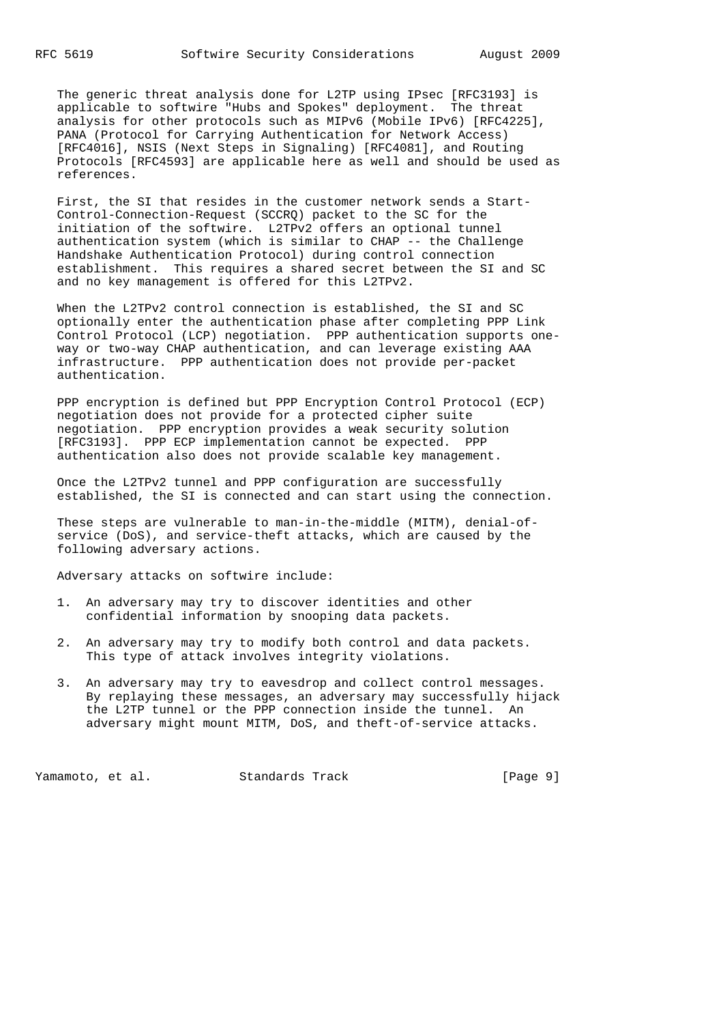The generic threat analysis done for L2TP using IPsec [RFC3193] is applicable to softwire "Hubs and Spokes" deployment. The threat analysis for other protocols such as MIPv6 (Mobile IPv6) [RFC4225], PANA (Protocol for Carrying Authentication for Network Access) [RFC4016], NSIS (Next Steps in Signaling) [RFC4081], and Routing Protocols [RFC4593] are applicable here as well and should be used as references.

 First, the SI that resides in the customer network sends a Start- Control-Connection-Request (SCCRQ) packet to the SC for the initiation of the softwire. L2TPv2 offers an optional tunnel authentication system (which is similar to CHAP -- the Challenge Handshake Authentication Protocol) during control connection establishment. This requires a shared secret between the SI and SC and no key management is offered for this L2TPv2.

 When the L2TPv2 control connection is established, the SI and SC optionally enter the authentication phase after completing PPP Link Control Protocol (LCP) negotiation. PPP authentication supports one way or two-way CHAP authentication, and can leverage existing AAA infrastructure. PPP authentication does not provide per-packet authentication.

 PPP encryption is defined but PPP Encryption Control Protocol (ECP) negotiation does not provide for a protected cipher suite negotiation. PPP encryption provides a weak security solution [RFC3193]. PPP ECP implementation cannot be expected. PPP authentication also does not provide scalable key management.

 Once the L2TPv2 tunnel and PPP configuration are successfully established, the SI is connected and can start using the connection.

 These steps are vulnerable to man-in-the-middle (MITM), denial-of service (DoS), and service-theft attacks, which are caused by the following adversary actions.

Adversary attacks on softwire include:

- 1. An adversary may try to discover identities and other confidential information by snooping data packets.
- 2. An adversary may try to modify both control and data packets. This type of attack involves integrity violations.
- 3. An adversary may try to eavesdrop and collect control messages. By replaying these messages, an adversary may successfully hijack the L2TP tunnel or the PPP connection inside the tunnel. An adversary might mount MITM, DoS, and theft-of-service attacks.

Yamamoto, et al. Standards Track [Page 9]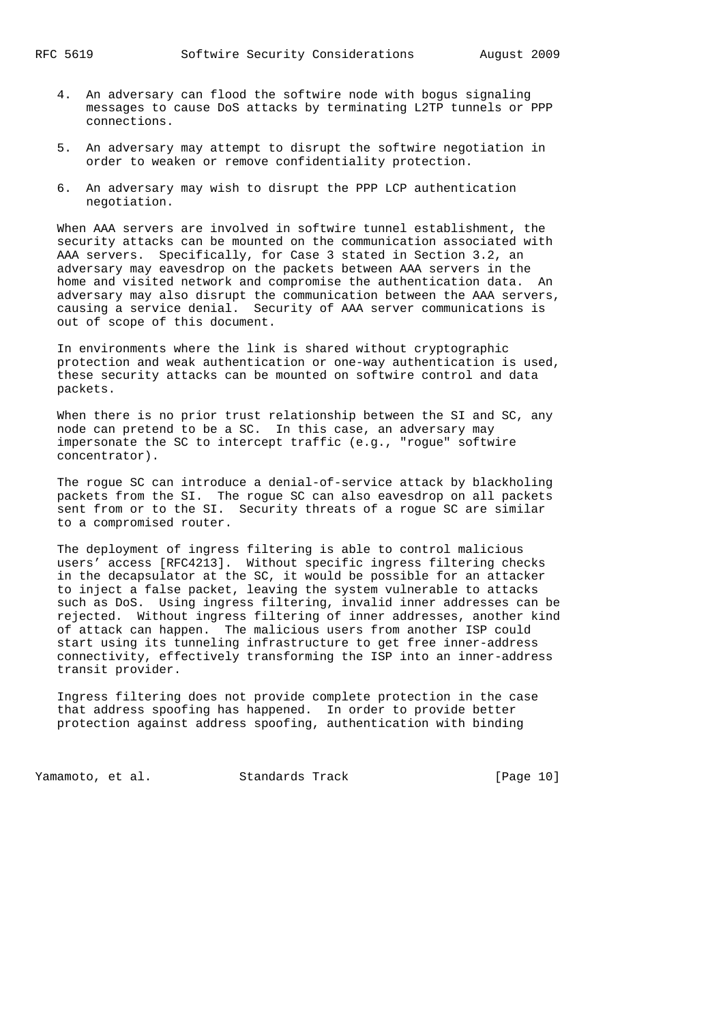- 4. An adversary can flood the softwire node with bogus signaling messages to cause DoS attacks by terminating L2TP tunnels or PPP connections.
- 5. An adversary may attempt to disrupt the softwire negotiation in order to weaken or remove confidentiality protection.
- 6. An adversary may wish to disrupt the PPP LCP authentication negotiation.

 When AAA servers are involved in softwire tunnel establishment, the security attacks can be mounted on the communication associated with AAA servers. Specifically, for Case 3 stated in Section 3.2, an adversary may eavesdrop on the packets between AAA servers in the home and visited network and compromise the authentication data. An adversary may also disrupt the communication between the AAA servers, causing a service denial. Security of AAA server communications is out of scope of this document.

 In environments where the link is shared without cryptographic protection and weak authentication or one-way authentication is used, these security attacks can be mounted on softwire control and data packets.

When there is no prior trust relationship between the SI and SC, any node can pretend to be a SC. In this case, an adversary may impersonate the SC to intercept traffic (e.g., "rogue" softwire concentrator).

 The rogue SC can introduce a denial-of-service attack by blackholing packets from the SI. The rogue SC can also eavesdrop on all packets sent from or to the SI. Security threats of a rogue SC are similar to a compromised router.

 The deployment of ingress filtering is able to control malicious users' access [RFC4213]. Without specific ingress filtering checks in the decapsulator at the SC, it would be possible for an attacker to inject a false packet, leaving the system vulnerable to attacks such as DoS. Using ingress filtering, invalid inner addresses can be rejected. Without ingress filtering of inner addresses, another kind of attack can happen. The malicious users from another ISP could start using its tunneling infrastructure to get free inner-address connectivity, effectively transforming the ISP into an inner-address transit provider.

 Ingress filtering does not provide complete protection in the case that address spoofing has happened. In order to provide better protection against address spoofing, authentication with binding

Yamamoto, et al. Standards Track [Page 10]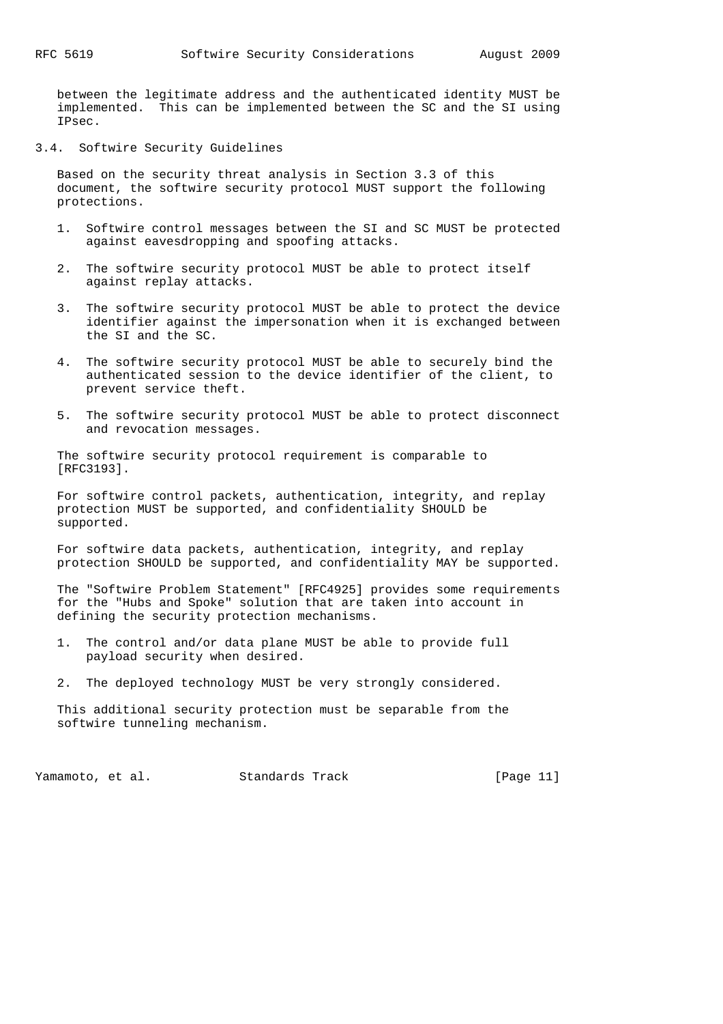between the legitimate address and the authenticated identity MUST be implemented. This can be implemented between the SC and the SI using IPsec.

3.4. Softwire Security Guidelines

 Based on the security threat analysis in Section 3.3 of this document, the softwire security protocol MUST support the following protections.

- 1. Softwire control messages between the SI and SC MUST be protected against eavesdropping and spoofing attacks.
- 2. The softwire security protocol MUST be able to protect itself against replay attacks.
- 3. The softwire security protocol MUST be able to protect the device identifier against the impersonation when it is exchanged between the SI and the SC.
- 4. The softwire security protocol MUST be able to securely bind the authenticated session to the device identifier of the client, to prevent service theft.
- 5. The softwire security protocol MUST be able to protect disconnect and revocation messages.

 The softwire security protocol requirement is comparable to [RFC3193].

 For softwire control packets, authentication, integrity, and replay protection MUST be supported, and confidentiality SHOULD be supported.

 For softwire data packets, authentication, integrity, and replay protection SHOULD be supported, and confidentiality MAY be supported.

 The "Softwire Problem Statement" [RFC4925] provides some requirements for the "Hubs and Spoke" solution that are taken into account in defining the security protection mechanisms.

- 1. The control and/or data plane MUST be able to provide full payload security when desired.
- 2. The deployed technology MUST be very strongly considered.

 This additional security protection must be separable from the softwire tunneling mechanism.

Yamamoto, et al. Standards Track [Page 11]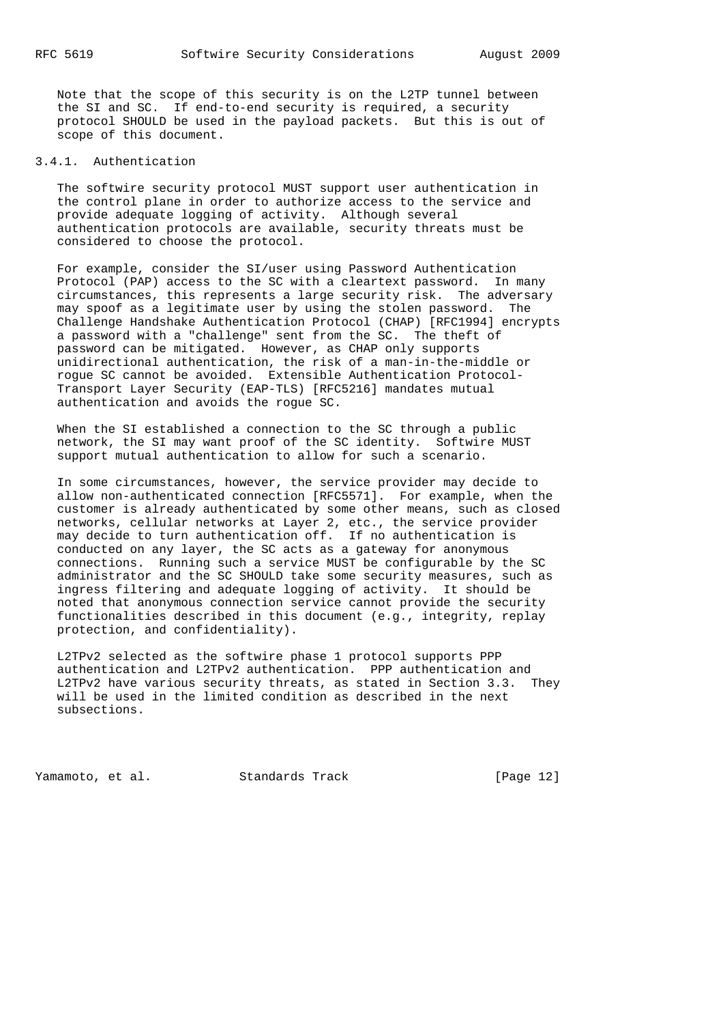Note that the scope of this security is on the L2TP tunnel between the SI and SC. If end-to-end security is required, a security protocol SHOULD be used in the payload packets. But this is out of scope of this document.

# 3.4.1. Authentication

 The softwire security protocol MUST support user authentication in the control plane in order to authorize access to the service and provide adequate logging of activity. Although several authentication protocols are available, security threats must be considered to choose the protocol.

 For example, consider the SI/user using Password Authentication Protocol (PAP) access to the SC with a cleartext password. In many circumstances, this represents a large security risk. The adversary may spoof as a legitimate user by using the stolen password. The Challenge Handshake Authentication Protocol (CHAP) [RFC1994] encrypts a password with a "challenge" sent from the SC. The theft of password can be mitigated. However, as CHAP only supports unidirectional authentication, the risk of a man-in-the-middle or rogue SC cannot be avoided. Extensible Authentication Protocol- Transport Layer Security (EAP-TLS) [RFC5216] mandates mutual authentication and avoids the rogue SC.

 When the SI established a connection to the SC through a public network, the SI may want proof of the SC identity. Softwire MUST support mutual authentication to allow for such a scenario.

 In some circumstances, however, the service provider may decide to allow non-authenticated connection [RFC5571]. For example, when the customer is already authenticated by some other means, such as closed networks, cellular networks at Layer 2, etc., the service provider may decide to turn authentication off. If no authentication is conducted on any layer, the SC acts as a gateway for anonymous connections. Running such a service MUST be configurable by the SC administrator and the SC SHOULD take some security measures, such as ingress filtering and adequate logging of activity. It should be noted that anonymous connection service cannot provide the security functionalities described in this document (e.g., integrity, replay protection, and confidentiality).

 L2TPv2 selected as the softwire phase 1 protocol supports PPP authentication and L2TPv2 authentication. PPP authentication and L2TPv2 have various security threats, as stated in Section 3.3. They will be used in the limited condition as described in the next subsections.

Yamamoto, et al. Standards Track [Page 12]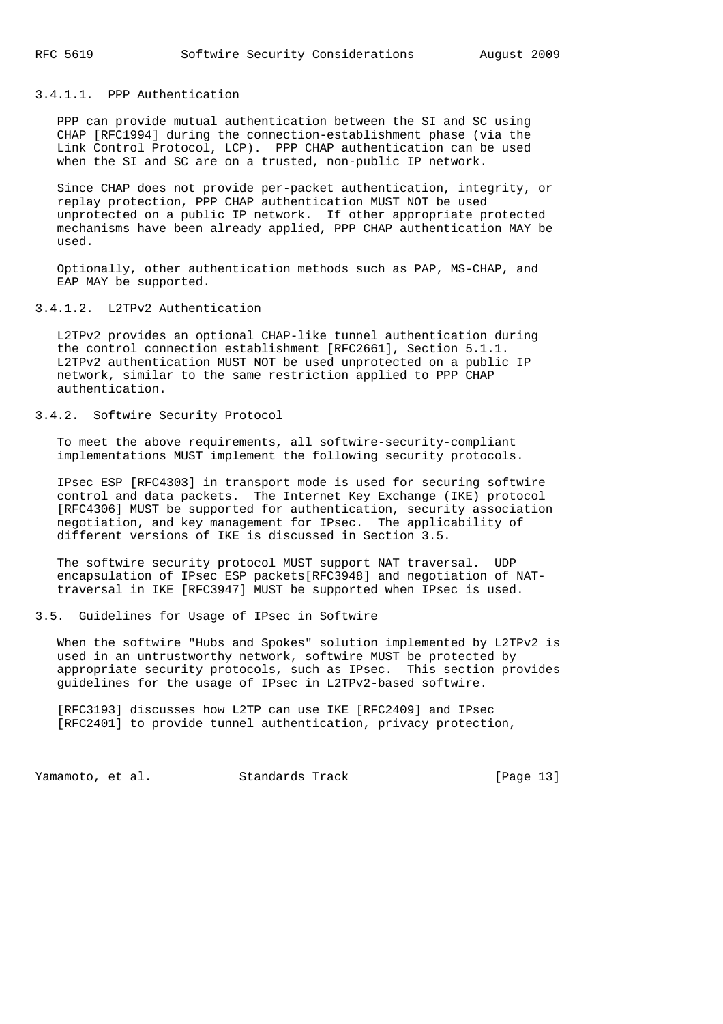# 3.4.1.1. PPP Authentication

 PPP can provide mutual authentication between the SI and SC using CHAP [RFC1994] during the connection-establishment phase (via the Link Control Protocol, LCP). PPP CHAP authentication can be used when the SI and SC are on a trusted, non-public IP network.

 Since CHAP does not provide per-packet authentication, integrity, or replay protection, PPP CHAP authentication MUST NOT be used unprotected on a public IP network. If other appropriate protected mechanisms have been already applied, PPP CHAP authentication MAY be used.

 Optionally, other authentication methods such as PAP, MS-CHAP, and EAP MAY be supported.

# 3.4.1.2. L2TPv2 Authentication

 L2TPv2 provides an optional CHAP-like tunnel authentication during the control connection establishment [RFC2661], Section 5.1.1. L2TPv2 authentication MUST NOT be used unprotected on a public IP network, similar to the same restriction applied to PPP CHAP authentication.

# 3.4.2. Softwire Security Protocol

 To meet the above requirements, all softwire-security-compliant implementations MUST implement the following security protocols.

 IPsec ESP [RFC4303] in transport mode is used for securing softwire control and data packets. The Internet Key Exchange (IKE) protocol [RFC4306] MUST be supported for authentication, security association negotiation, and key management for IPsec. The applicability of different versions of IKE is discussed in Section 3.5.

 The softwire security protocol MUST support NAT traversal. UDP encapsulation of IPsec ESP packets[RFC3948] and negotiation of NAT traversal in IKE [RFC3947] MUST be supported when IPsec is used.

### 3.5. Guidelines for Usage of IPsec in Softwire

 When the softwire "Hubs and Spokes" solution implemented by L2TPv2 is used in an untrustworthy network, softwire MUST be protected by appropriate security protocols, such as IPsec. This section provides guidelines for the usage of IPsec in L2TPv2-based softwire.

 [RFC3193] discusses how L2TP can use IKE [RFC2409] and IPsec [RFC2401] to provide tunnel authentication, privacy protection,

Yamamoto, et al. Standards Track [Page 13]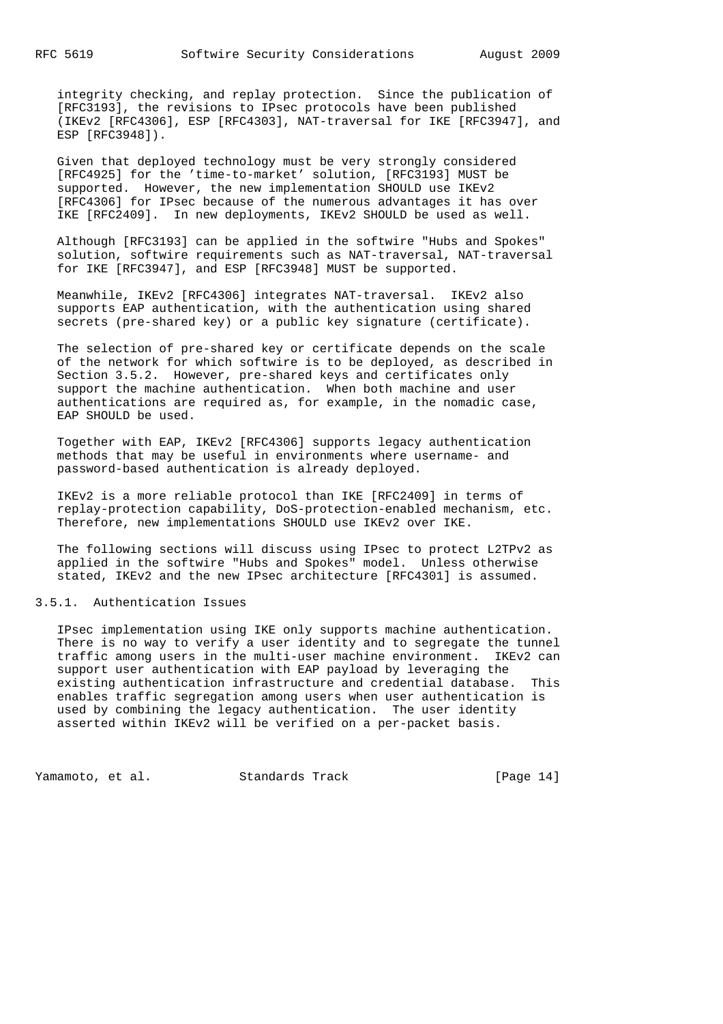integrity checking, and replay protection. Since the publication of [RFC3193], the revisions to IPsec protocols have been published (IKEv2 [RFC4306], ESP [RFC4303], NAT-traversal for IKE [RFC3947], and ESP [RFC3948]).

 Given that deployed technology must be very strongly considered [RFC4925] for the 'time-to-market' solution, [RFC3193] MUST be supported. However, the new implementation SHOULD use IKEv2 [RFC4306] for IPsec because of the numerous advantages it has over IKE [RFC2409]. In new deployments, IKEv2 SHOULD be used as well.

 Although [RFC3193] can be applied in the softwire "Hubs and Spokes" solution, softwire requirements such as NAT-traversal, NAT-traversal for IKE [RFC3947], and ESP [RFC3948] MUST be supported.

 Meanwhile, IKEv2 [RFC4306] integrates NAT-traversal. IKEv2 also supports EAP authentication, with the authentication using shared secrets (pre-shared key) or a public key signature (certificate).

 The selection of pre-shared key or certificate depends on the scale of the network for which softwire is to be deployed, as described in Section 3.5.2. However, pre-shared keys and certificates only support the machine authentication. When both machine and user authentications are required as, for example, in the nomadic case, EAP SHOULD be used.

 Together with EAP, IKEv2 [RFC4306] supports legacy authentication methods that may be useful in environments where username- and password-based authentication is already deployed.

 IKEv2 is a more reliable protocol than IKE [RFC2409] in terms of replay-protection capability, DoS-protection-enabled mechanism, etc. Therefore, new implementations SHOULD use IKEv2 over IKE.

 The following sections will discuss using IPsec to protect L2TPv2 as applied in the softwire "Hubs and Spokes" model. Unless otherwise stated, IKEv2 and the new IPsec architecture [RFC4301] is assumed.

# 3.5.1. Authentication Issues

 IPsec implementation using IKE only supports machine authentication. There is no way to verify a user identity and to segregate the tunnel traffic among users in the multi-user machine environment. IKEv2 can support user authentication with EAP payload by leveraging the existing authentication infrastructure and credential database. This enables traffic segregation among users when user authentication is used by combining the legacy authentication. The user identity asserted within IKEv2 will be verified on a per-packet basis.

Yamamoto, et al. Standards Track [Page 14]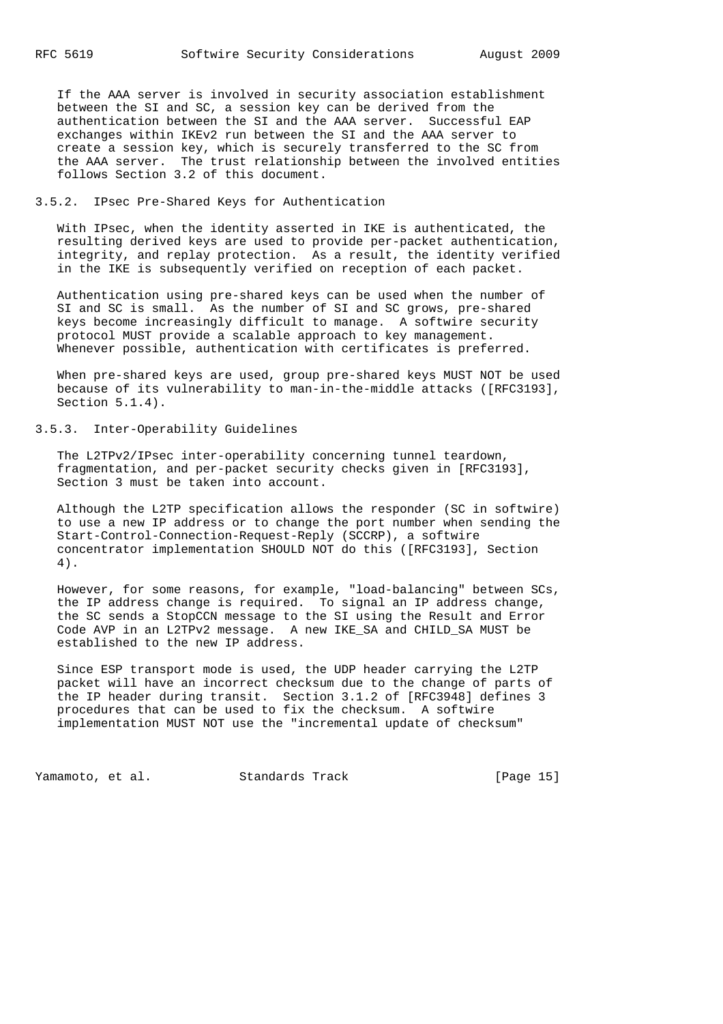If the AAA server is involved in security association establishment between the SI and SC, a session key can be derived from the authentication between the SI and the AAA server. Successful EAP exchanges within IKEv2 run between the SI and the AAA server to create a session key, which is securely transferred to the SC from the AAA server. The trust relationship between the involved entities follows Section 3.2 of this document.

# 3.5.2. IPsec Pre-Shared Keys for Authentication

 With IPsec, when the identity asserted in IKE is authenticated, the resulting derived keys are used to provide per-packet authentication, integrity, and replay protection. As a result, the identity verified in the IKE is subsequently verified on reception of each packet.

 Authentication using pre-shared keys can be used when the number of SI and SC is small. As the number of SI and SC grows, pre-shared keys become increasingly difficult to manage. A softwire security protocol MUST provide a scalable approach to key management. Whenever possible, authentication with certificates is preferred.

 When pre-shared keys are used, group pre-shared keys MUST NOT be used because of its vulnerability to man-in-the-middle attacks ([RFC3193], Section 5.1.4).

# 3.5.3. Inter-Operability Guidelines

 The L2TPv2/IPsec inter-operability concerning tunnel teardown, fragmentation, and per-packet security checks given in [RFC3193], Section 3 must be taken into account.

 Although the L2TP specification allows the responder (SC in softwire) to use a new IP address or to change the port number when sending the Start-Control-Connection-Request-Reply (SCCRP), a softwire concentrator implementation SHOULD NOT do this ([RFC3193], Section 4).

 However, for some reasons, for example, "load-balancing" between SCs, the IP address change is required. To signal an IP address change, the SC sends a StopCCN message to the SI using the Result and Error Code AVP in an L2TPv2 message. A new IKE\_SA and CHILD\_SA MUST be established to the new IP address.

 Since ESP transport mode is used, the UDP header carrying the L2TP packet will have an incorrect checksum due to the change of parts of the IP header during transit. Section 3.1.2 of [RFC3948] defines 3 procedures that can be used to fix the checksum. A softwire implementation MUST NOT use the "incremental update of checksum"

Yamamoto, et al. Standards Track [Page 15]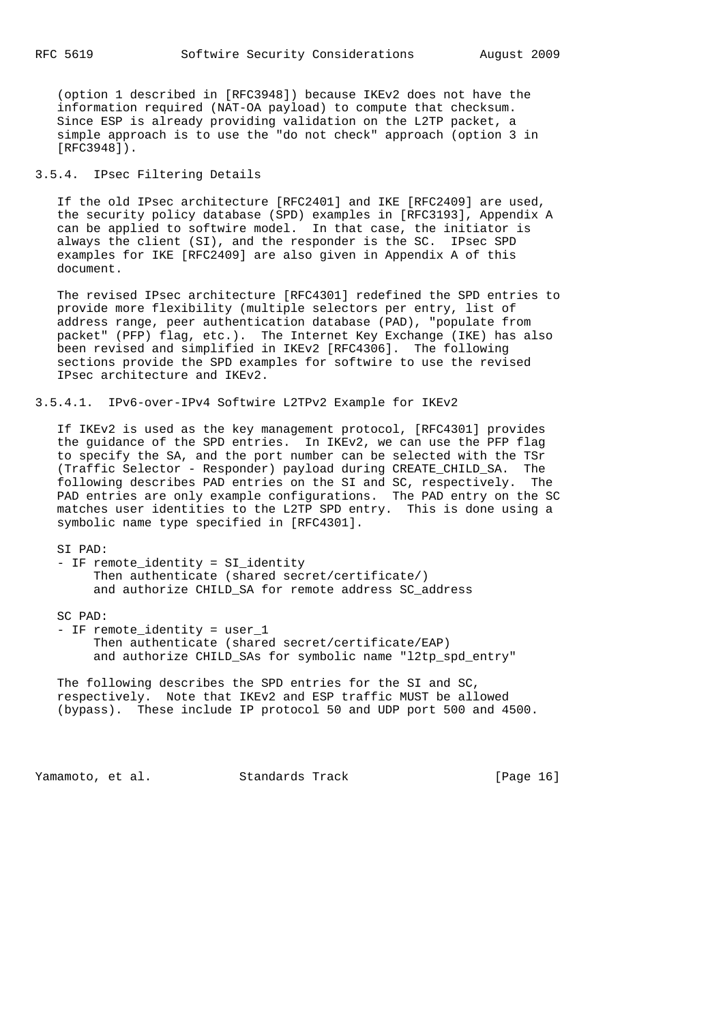(option 1 described in [RFC3948]) because IKEv2 does not have the information required (NAT-OA payload) to compute that checksum. Since ESP is already providing validation on the L2TP packet, a simple approach is to use the "do not check" approach (option 3 in [RFC3948]).

# 3.5.4. IPsec Filtering Details

 If the old IPsec architecture [RFC2401] and IKE [RFC2409] are used, the security policy database (SPD) examples in [RFC3193], Appendix A can be applied to softwire model. In that case, the initiator is always the client (SI), and the responder is the SC. IPsec SPD examples for IKE [RFC2409] are also given in Appendix A of this document.

 The revised IPsec architecture [RFC4301] redefined the SPD entries to provide more flexibility (multiple selectors per entry, list of address range, peer authentication database (PAD), "populate from packet" (PFP) flag, etc.). The Internet Key Exchange (IKE) has also been revised and simplified in IKEv2 [RFC4306]. The following sections provide the SPD examples for softwire to use the revised IPsec architecture and IKEv2.

3.5.4.1. IPv6-over-IPv4 Softwire L2TPv2 Example for IKEv2

 If IKEv2 is used as the key management protocol, [RFC4301] provides the guidance of the SPD entries. In IKEv2, we can use the PFP flag to specify the SA, and the port number can be selected with the TSr (Traffic Selector - Responder) payload during CREATE\_CHILD\_SA. The following describes PAD entries on the SI and SC, respectively. The PAD entries are only example configurations. The PAD entry on the SC matches user identities to the L2TP SPD entry. This is done using a symbolic name type specified in [RFC4301].

 SI PAD: - IF remote identity = SI identity Then authenticate (shared secret/certificate/) and authorize CHILD\_SA for remote address SC\_address SC PAD: - IF remote\_identity = user\_1 Then authenticate (shared secret/certificate/EAP) and authorize CHILD\_SAs for symbolic name "l2tp\_spd\_entry"

 The following describes the SPD entries for the SI and SC, respectively. Note that IKEv2 and ESP traffic MUST be allowed (bypass). These include IP protocol 50 and UDP port 500 and 4500.

Yamamoto, et al. Standards Track [Page 16]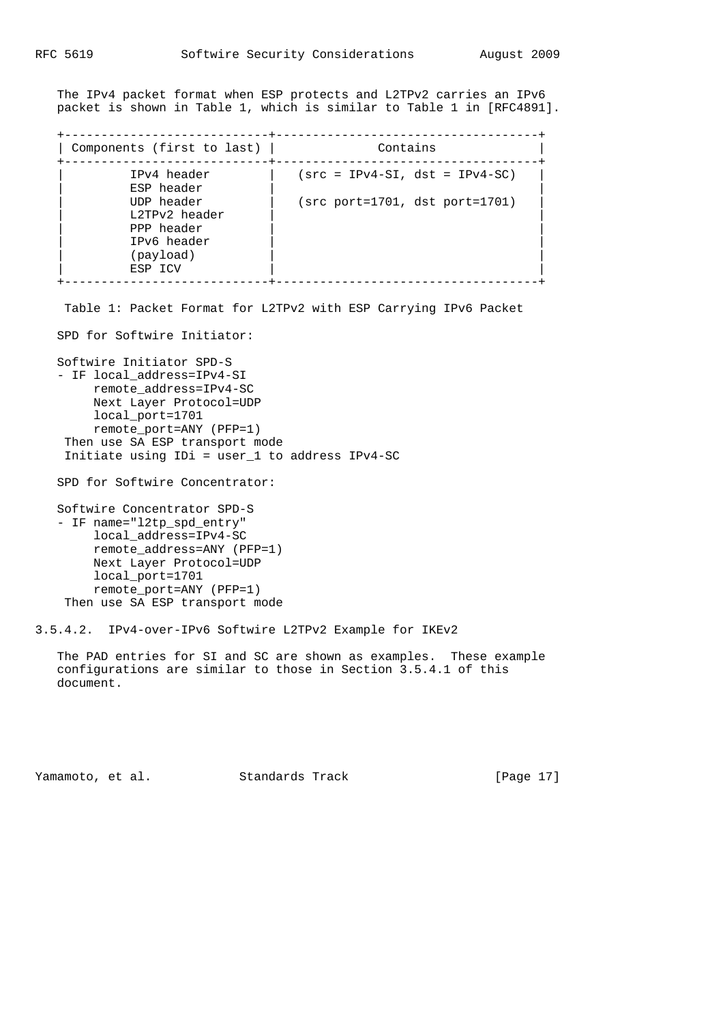The IPv4 packet format when ESP protects and L2TPv2 carries an IPv6 packet is shown in Table 1, which is similar to Table 1 in [RFC4891].

| Components (first to last)                                                       | Contains                         |
|----------------------------------------------------------------------------------|----------------------------------|
| IPv4 header<br>ESP header                                                        | $(src = IPv4-SI, dst = IPv4-SC)$ |
| UDP header<br>L2TPv2 header<br>PPP header<br>IPv6 header<br>(payload)<br>ESP ICV | (src port=1701, dst port=1701)   |

Table 1: Packet Format for L2TPv2 with ESP Carrying IPv6 Packet

SPD for Softwire Initiator:

Softwire Initiator SPD-S

```
 - IF local_address=IPv4-SI
     remote_address=IPv4-SC
     Next Layer Protocol=UDP
     local_port=1701
     remote_port=ANY (PFP=1)
 Then use SA ESP transport mode
 Initiate using IDi = user_1 to address IPv4-SC
```
SPD for Softwire Concentrator:

 Softwire Concentrator SPD-S - IF name="l2tp\_spd\_entry" local\_address=IPv4-SC remote\_address=ANY (PFP=1) Next Layer Protocol=UDP local\_port=1701 remote\_port=ANY (PFP=1) Then use SA ESP transport mode

3.5.4.2. IPv4-over-IPv6 Softwire L2TPv2 Example for IKEv2

 The PAD entries for SI and SC are shown as examples. These example configurations are similar to those in Section 3.5.4.1 of this document.

Yamamoto, et al. Standards Track [Page 17]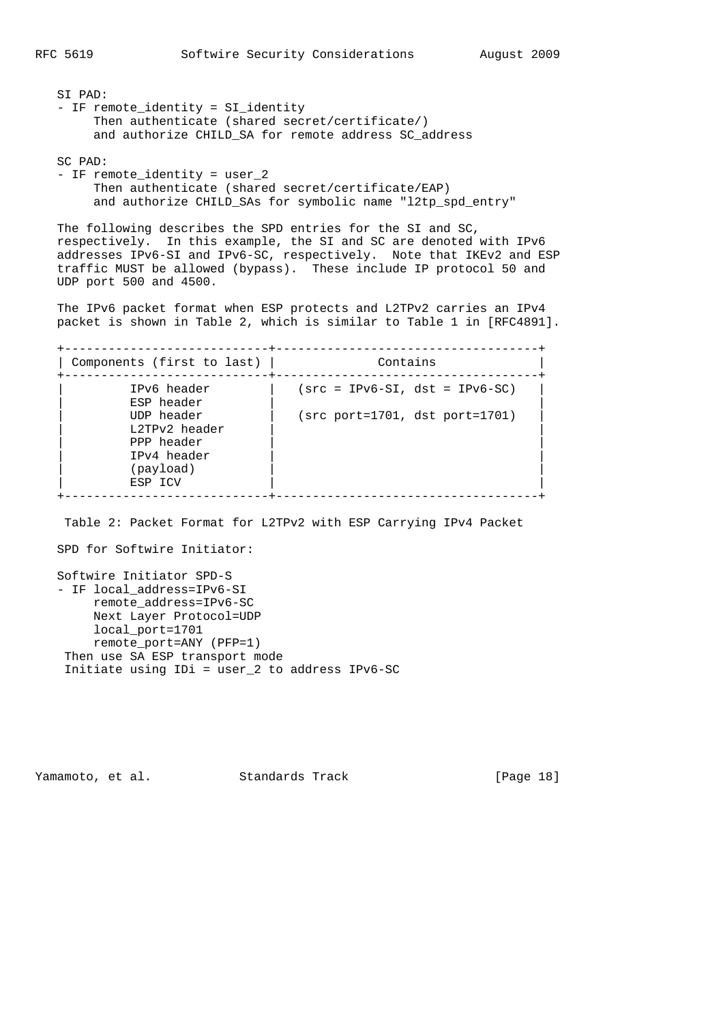SI PAD: - IF remote\_identity = SI\_identity Then authenticate (shared secret/certificate/) and authorize CHILD\_SA for remote address SC\_address

SC PAD:

 - IF remote\_identity = user\_2 Then authenticate (shared secret/certificate/EAP) and authorize CHILD SAs for symbolic name "l2tp spd entry"

 The following describes the SPD entries for the SI and SC, respectively. In this example, the SI and SC are denoted with IPv6 addresses IPv6-SI and IPv6-SC, respectively. Note that IKEv2 and ESP traffic MUST be allowed (bypass). These include IP protocol 50 and UDP port 500 and 4500.

 The IPv6 packet format when ESP protects and L2TPv2 carries an IPv4 packet is shown in Table 2, which is similar to Table 1 in [RFC4891].

 +----------------------------+------------------------------------+ | Components (first to last) | Contains +----------------------------+------------------------------------+ | IPv6 header | (src = IPv6-SI, dst = IPv6-SC) | | ESP header | | | UDP header | (src port=1701, dst port=1701) | | L2TPv2 header | | | PPP header | | | IPv4 header | | (payload) ESP ICV +----------------------------+------------------------------------+

Table 2: Packet Format for L2TPv2 with ESP Carrying IPv4 Packet

SPD for Softwire Initiator:

```
 Softwire Initiator SPD-S
 - IF local_address=IPv6-SI
      remote_address=IPv6-SC
      Next Layer Protocol=UDP
      local_port=1701
      remote_port=ANY (PFP=1)
  Then use SA ESP transport mode
  Initiate using IDi = user_2 to address IPv6-SC
```
Yamamoto, et al. Standards Track [Page 18]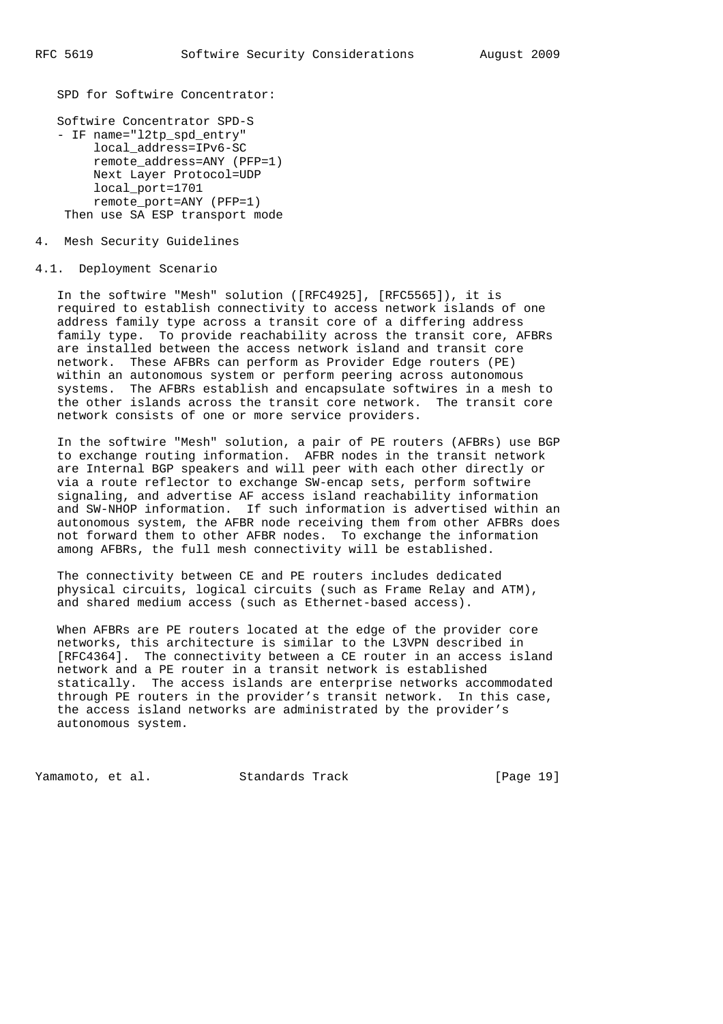SPD for Softwire Concentrator:

```
 Softwire Concentrator SPD-S
 - IF name="l2tp_spd_entry"
      local_address=IPv6-SC
      remote_address=ANY (PFP=1)
      Next Layer Protocol=UDP
      local_port=1701
      remote_port=ANY (PFP=1)
  Then use SA ESP transport mode
```
#### 4. Mesh Security Guidelines

#### 4.1. Deployment Scenario

 In the softwire "Mesh" solution ([RFC4925], [RFC5565]), it is required to establish connectivity to access network islands of one address family type across a transit core of a differing address family type. To provide reachability across the transit core, AFBRs are installed between the access network island and transit core network. These AFBRs can perform as Provider Edge routers (PE) within an autonomous system or perform peering across autonomous systems. The AFBRs establish and encapsulate softwires in a mesh to the other islands across the transit core network. The transit core network consists of one or more service providers.

 In the softwire "Mesh" solution, a pair of PE routers (AFBRs) use BGP to exchange routing information. AFBR nodes in the transit network are Internal BGP speakers and will peer with each other directly or via a route reflector to exchange SW-encap sets, perform softwire signaling, and advertise AF access island reachability information and SW-NHOP information. If such information is advertised within an autonomous system, the AFBR node receiving them from other AFBRs does not forward them to other AFBR nodes. To exchange the information among AFBRs, the full mesh connectivity will be established.

 The connectivity between CE and PE routers includes dedicated physical circuits, logical circuits (such as Frame Relay and ATM), and shared medium access (such as Ethernet-based access).

 When AFBRs are PE routers located at the edge of the provider core networks, this architecture is similar to the L3VPN described in [RFC4364]. The connectivity between a CE router in an access island network and a PE router in a transit network is established statically. The access islands are enterprise networks accommodated through PE routers in the provider's transit network. In this case, the access island networks are administrated by the provider's autonomous system.

Yamamoto, et al. Standards Track [Page 19]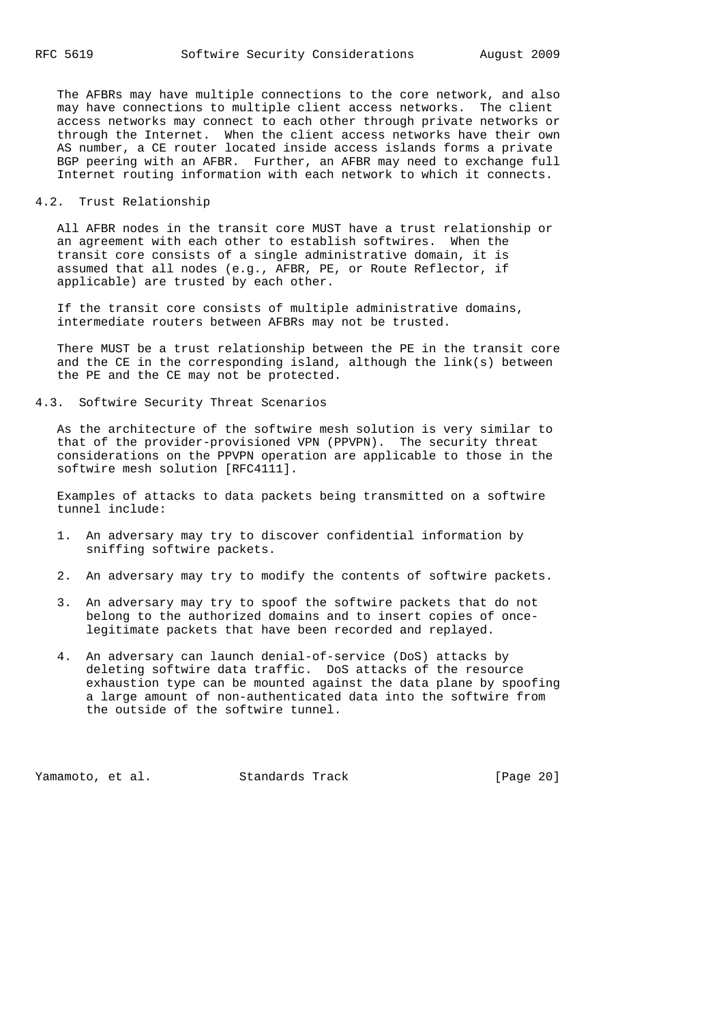The AFBRs may have multiple connections to the core network, and also may have connections to multiple client access networks. The client access networks may connect to each other through private networks or through the Internet. When the client access networks have their own AS number, a CE router located inside access islands forms a private BGP peering with an AFBR. Further, an AFBR may need to exchange full Internet routing information with each network to which it connects.

## 4.2. Trust Relationship

 All AFBR nodes in the transit core MUST have a trust relationship or an agreement with each other to establish softwires. When the transit core consists of a single administrative domain, it is assumed that all nodes (e.g., AFBR, PE, or Route Reflector, if applicable) are trusted by each other.

 If the transit core consists of multiple administrative domains, intermediate routers between AFBRs may not be trusted.

 There MUST be a trust relationship between the PE in the transit core and the CE in the corresponding island, although the link(s) between the PE and the CE may not be protected.

4.3. Softwire Security Threat Scenarios

 As the architecture of the softwire mesh solution is very similar to that of the provider-provisioned VPN (PPVPN). The security threat considerations on the PPVPN operation are applicable to those in the softwire mesh solution [RFC4111].

 Examples of attacks to data packets being transmitted on a softwire tunnel include:

- 1. An adversary may try to discover confidential information by sniffing softwire packets.
- 2. An adversary may try to modify the contents of softwire packets.
- 3. An adversary may try to spoof the softwire packets that do not belong to the authorized domains and to insert copies of once legitimate packets that have been recorded and replayed.
- 4. An adversary can launch denial-of-service (DoS) attacks by deleting softwire data traffic. DoS attacks of the resource exhaustion type can be mounted against the data plane by spoofing a large amount of non-authenticated data into the softwire from the outside of the softwire tunnel.

Yamamoto, et al. Standards Track [Page 20]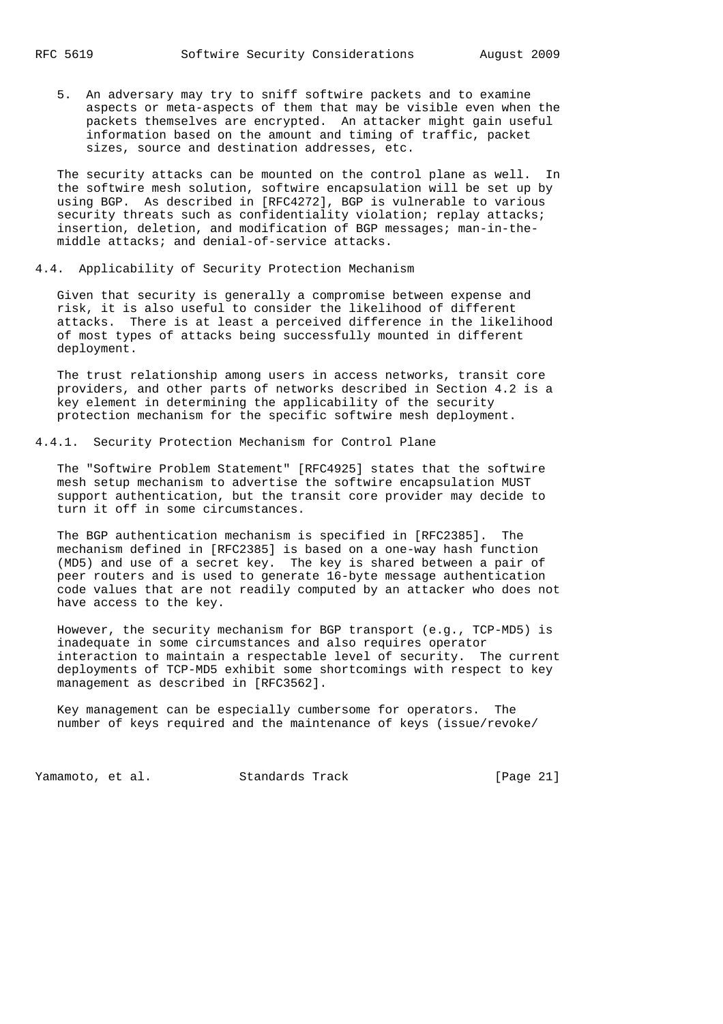5. An adversary may try to sniff softwire packets and to examine aspects or meta-aspects of them that may be visible even when the packets themselves are encrypted. An attacker might gain useful information based on the amount and timing of traffic, packet sizes, source and destination addresses, etc.

 The security attacks can be mounted on the control plane as well. In the softwire mesh solution, softwire encapsulation will be set up by using BGP. As described in [RFC4272], BGP is vulnerable to various security threats such as confidentiality violation; replay attacks; insertion, deletion, and modification of BGP messages; man-in-the middle attacks; and denial-of-service attacks.

## 4.4. Applicability of Security Protection Mechanism

 Given that security is generally a compromise between expense and risk, it is also useful to consider the likelihood of different attacks. There is at least a perceived difference in the likelihood of most types of attacks being successfully mounted in different deployment.

 The trust relationship among users in access networks, transit core providers, and other parts of networks described in Section 4.2 is a key element in determining the applicability of the security protection mechanism for the specific softwire mesh deployment.

## 4.4.1. Security Protection Mechanism for Control Plane

 The "Softwire Problem Statement" [RFC4925] states that the softwire mesh setup mechanism to advertise the softwire encapsulation MUST support authentication, but the transit core provider may decide to turn it off in some circumstances.

 The BGP authentication mechanism is specified in [RFC2385]. The mechanism defined in [RFC2385] is based on a one-way hash function (MD5) and use of a secret key. The key is shared between a pair of peer routers and is used to generate 16-byte message authentication code values that are not readily computed by an attacker who does not have access to the key.

 However, the security mechanism for BGP transport (e.g., TCP-MD5) is inadequate in some circumstances and also requires operator interaction to maintain a respectable level of security. The current deployments of TCP-MD5 exhibit some shortcomings with respect to key management as described in [RFC3562].

 Key management can be especially cumbersome for operators. The number of keys required and the maintenance of keys (issue/revoke/

Yamamoto, et al. Standards Track [Page 21]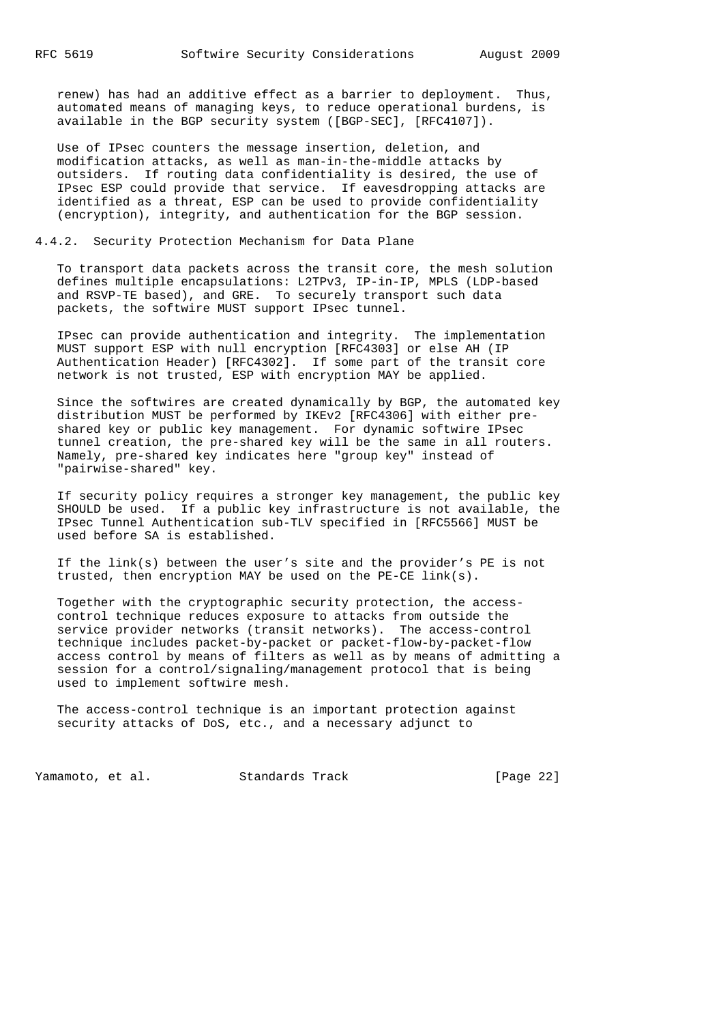renew) has had an additive effect as a barrier to deployment. Thus, automated means of managing keys, to reduce operational burdens, is available in the BGP security system ([BGP-SEC], [RFC4107]).

 Use of IPsec counters the message insertion, deletion, and modification attacks, as well as man-in-the-middle attacks by outsiders. If routing data confidentiality is desired, the use of IPsec ESP could provide that service. If eavesdropping attacks are identified as a threat, ESP can be used to provide confidentiality (encryption), integrity, and authentication for the BGP session.

# 4.4.2. Security Protection Mechanism for Data Plane

 To transport data packets across the transit core, the mesh solution defines multiple encapsulations: L2TPv3, IP-in-IP, MPLS (LDP-based and RSVP-TE based), and GRE. To securely transport such data packets, the softwire MUST support IPsec tunnel.

 IPsec can provide authentication and integrity. The implementation MUST support ESP with null encryption [RFC4303] or else AH (IP Authentication Header) [RFC4302]. If some part of the transit core network is not trusted, ESP with encryption MAY be applied.

 Since the softwires are created dynamically by BGP, the automated key distribution MUST be performed by IKEv2 [RFC4306] with either pre shared key or public key management. For dynamic softwire IPsec tunnel creation, the pre-shared key will be the same in all routers. Namely, pre-shared key indicates here "group key" instead of "pairwise-shared" key.

 If security policy requires a stronger key management, the public key SHOULD be used. If a public key infrastructure is not available, the IPsec Tunnel Authentication sub-TLV specified in [RFC5566] MUST be used before SA is established.

 If the link(s) between the user's site and the provider's PE is not trusted, then encryption MAY be used on the PE-CE link(s).

 Together with the cryptographic security protection, the access control technique reduces exposure to attacks from outside the service provider networks (transit networks). The access-control technique includes packet-by-packet or packet-flow-by-packet-flow access control by means of filters as well as by means of admitting a session for a control/signaling/management protocol that is being used to implement softwire mesh.

 The access-control technique is an important protection against security attacks of DoS, etc., and a necessary adjunct to

Yamamoto, et al. Standards Track [Page 22]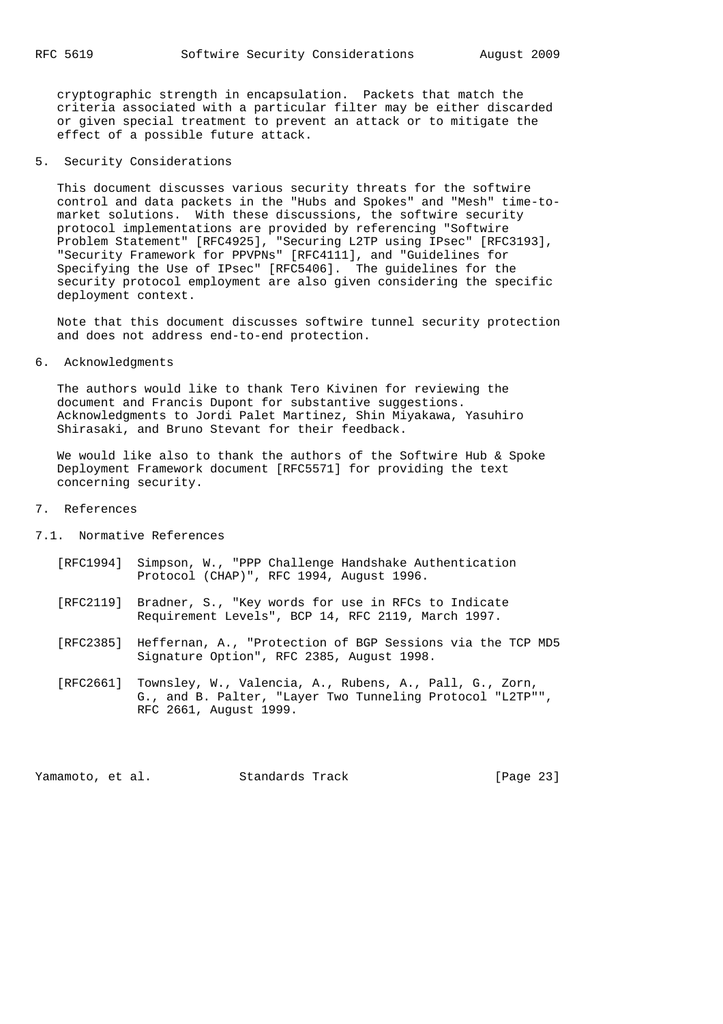cryptographic strength in encapsulation. Packets that match the criteria associated with a particular filter may be either discarded or given special treatment to prevent an attack or to mitigate the effect of a possible future attack.

# 5. Security Considerations

 This document discusses various security threats for the softwire control and data packets in the "Hubs and Spokes" and "Mesh" time-to market solutions. With these discussions, the softwire security protocol implementations are provided by referencing "Softwire Problem Statement" [RFC4925], "Securing L2TP using IPsec" [RFC3193], "Security Framework for PPVPNs" [RFC4111], and "Guidelines for Specifying the Use of IPsec" [RFC5406]. The guidelines for the security protocol employment are also given considering the specific deployment context.

 Note that this document discusses softwire tunnel security protection and does not address end-to-end protection.

## 6. Acknowledgments

 The authors would like to thank Tero Kivinen for reviewing the document and Francis Dupont for substantive suggestions. Acknowledgments to Jordi Palet Martinez, Shin Miyakawa, Yasuhiro Shirasaki, and Bruno Stevant for their feedback.

We would like also to thank the authors of the Softwire Hub & Spoke Deployment Framework document [RFC5571] for providing the text concerning security.

#### 7. References

- 7.1. Normative References
	- [RFC1994] Simpson, W., "PPP Challenge Handshake Authentication Protocol (CHAP)", RFC 1994, August 1996.
	- [RFC2119] Bradner, S., "Key words for use in RFCs to Indicate Requirement Levels", BCP 14, RFC 2119, March 1997.
	- [RFC2385] Heffernan, A., "Protection of BGP Sessions via the TCP MD5 Signature Option", RFC 2385, August 1998.
	- [RFC2661] Townsley, W., Valencia, A., Rubens, A., Pall, G., Zorn, G., and B. Palter, "Layer Two Tunneling Protocol "L2TP"", RFC 2661, August 1999.

Yamamoto, et al. Standards Track [Page 23]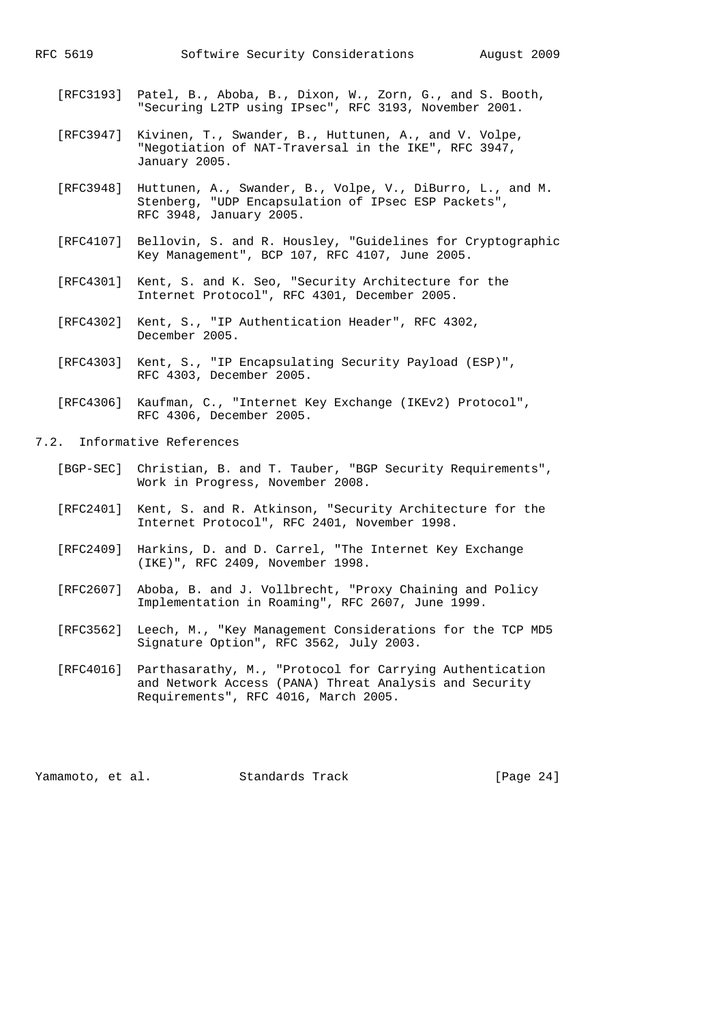- [RFC3193] Patel, B., Aboba, B., Dixon, W., Zorn, G., and S. Booth, "Securing L2TP using IPsec", RFC 3193, November 2001.
- [RFC3947] Kivinen, T., Swander, B., Huttunen, A., and V. Volpe, "Negotiation of NAT-Traversal in the IKE", RFC 3947, January 2005.
- [RFC3948] Huttunen, A., Swander, B., Volpe, V., DiBurro, L., and M. Stenberg, "UDP Encapsulation of IPsec ESP Packets", RFC 3948, January 2005.
- [RFC4107] Bellovin, S. and R. Housley, "Guidelines for Cryptographic Key Management", BCP 107, RFC 4107, June 2005.
- [RFC4301] Kent, S. and K. Seo, "Security Architecture for the Internet Protocol", RFC 4301, December 2005.
- [RFC4302] Kent, S., "IP Authentication Header", RFC 4302, December 2005.
- [RFC4303] Kent, S., "IP Encapsulating Security Payload (ESP)", RFC 4303, December 2005.
- [RFC4306] Kaufman, C., "Internet Key Exchange (IKEv2) Protocol", RFC 4306, December 2005.
- 7.2. Informative References
	- [BGP-SEC] Christian, B. and T. Tauber, "BGP Security Requirements", Work in Progress, November 2008.
	- [RFC2401] Kent, S. and R. Atkinson, "Security Architecture for the Internet Protocol", RFC 2401, November 1998.
	- [RFC2409] Harkins, D. and D. Carrel, "The Internet Key Exchange (IKE)", RFC 2409, November 1998.
	- [RFC2607] Aboba, B. and J. Vollbrecht, "Proxy Chaining and Policy Implementation in Roaming", RFC 2607, June 1999.
	- [RFC3562] Leech, M., "Key Management Considerations for the TCP MD5 Signature Option", RFC 3562, July 2003.
	- [RFC4016] Parthasarathy, M., "Protocol for Carrying Authentication and Network Access (PANA) Threat Analysis and Security Requirements", RFC 4016, March 2005.

Yamamoto, et al. Standards Track [Page 24]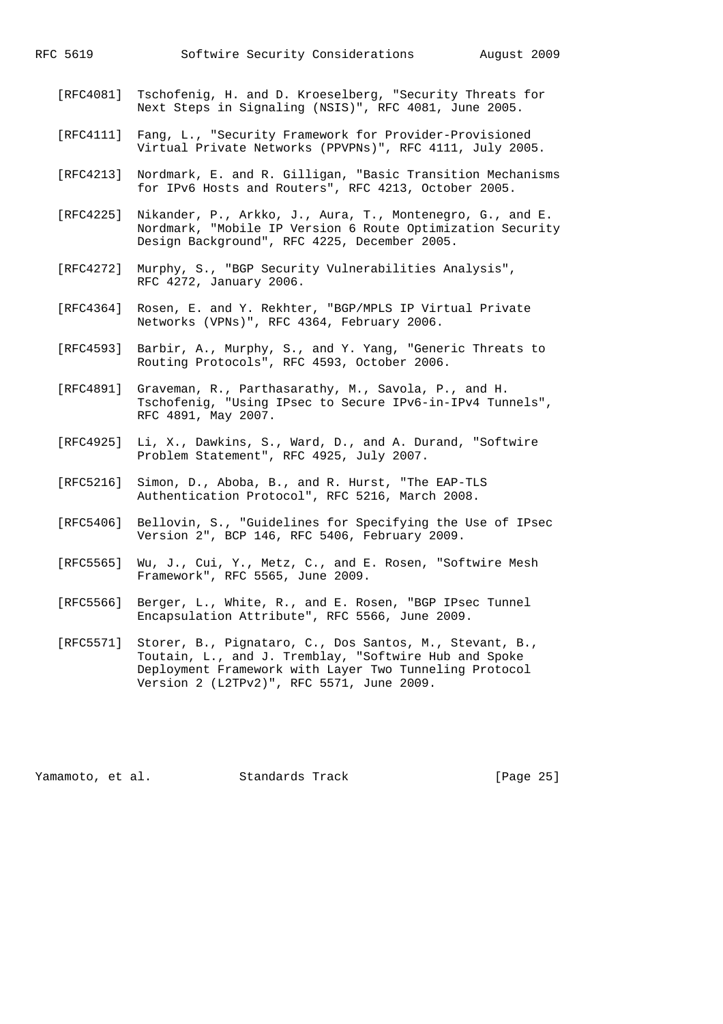- [RFC4081] Tschofenig, H. and D. Kroeselberg, "Security Threats for Next Steps in Signaling (NSIS)", RFC 4081, June 2005.
- [RFC4111] Fang, L., "Security Framework for Provider-Provisioned Virtual Private Networks (PPVPNs)", RFC 4111, July 2005.
- [RFC4213] Nordmark, E. and R. Gilligan, "Basic Transition Mechanisms for IPv6 Hosts and Routers", RFC 4213, October 2005.
- [RFC4225] Nikander, P., Arkko, J., Aura, T., Montenegro, G., and E. Nordmark, "Mobile IP Version 6 Route Optimization Security Design Background", RFC 4225, December 2005.
- [RFC4272] Murphy, S., "BGP Security Vulnerabilities Analysis", RFC 4272, January 2006.
- [RFC4364] Rosen, E. and Y. Rekhter, "BGP/MPLS IP Virtual Private Networks (VPNs)", RFC 4364, February 2006.
- [RFC4593] Barbir, A., Murphy, S., and Y. Yang, "Generic Threats to Routing Protocols", RFC 4593, October 2006.
- [RFC4891] Graveman, R., Parthasarathy, M., Savola, P., and H. Tschofenig, "Using IPsec to Secure IPv6-in-IPv4 Tunnels", RFC 4891, May 2007.
- [RFC4925] Li, X., Dawkins, S., Ward, D., and A. Durand, "Softwire Problem Statement", RFC 4925, July 2007.
- [RFC5216] Simon, D., Aboba, B., and R. Hurst, "The EAP-TLS Authentication Protocol", RFC 5216, March 2008.
- [RFC5406] Bellovin, S., "Guidelines for Specifying the Use of IPsec Version 2", BCP 146, RFC 5406, February 2009.
- [RFC5565] Wu, J., Cui, Y., Metz, C., and E. Rosen, "Softwire Mesh Framework", RFC 5565, June 2009.
- [RFC5566] Berger, L., White, R., and E. Rosen, "BGP IPsec Tunnel Encapsulation Attribute", RFC 5566, June 2009.
- [RFC5571] Storer, B., Pignataro, C., Dos Santos, M., Stevant, B., Toutain, L., and J. Tremblay, "Softwire Hub and Spoke Deployment Framework with Layer Two Tunneling Protocol Version 2 (L2TPv2)", RFC 5571, June 2009.

Yamamoto, et al. Standards Track [Page 25]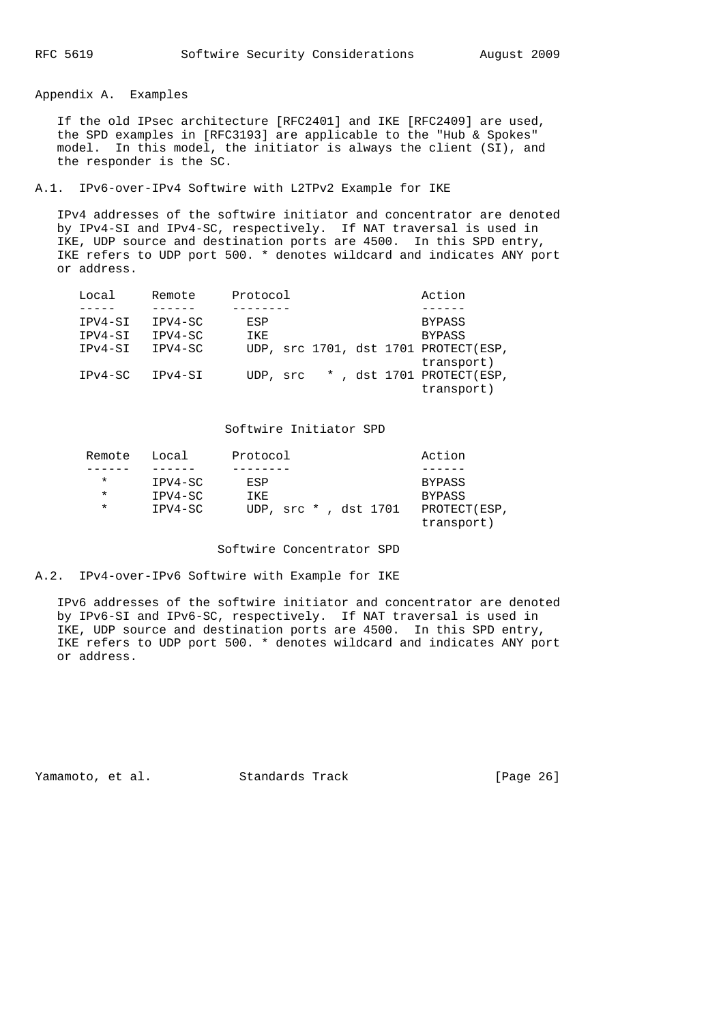Appendix A. Examples

 If the old IPsec architecture [RFC2401] and IKE [RFC2409] are used, the SPD examples in [RFC3193] are applicable to the "Hub & Spokes" model. In this model, the initiator is always the client (SI), and the responder is the SC.

A.1. IPv6-over-IPv4 Softwire with L2TPv2 Example for IKE

 IPv4 addresses of the softwire initiator and concentrator are denoted by IPv4-SI and IPv4-SC, respectively. If NAT traversal is used in IKE, UDP source and destination ports are 4500. In this SPD entry, IKE refers to UDP port 500. \* denotes wildcard and indicates ANY port or address.

| Local     | Remote  | Protocol |  |  | Action                                             |
|-----------|---------|----------|--|--|----------------------------------------------------|
|           |         |          |  |  |                                                    |
| IPV4-SI   | IPV4-SC | ESP      |  |  | <b>BYPASS</b>                                      |
| IPV4-SI   | IPV4-SC | IKE      |  |  | <b>BYPASS</b>                                      |
| $IPv4-SI$ | IPV4-SC |          |  |  | UDP, src 1701, dst 1701 PROTECT(ESP,<br>transport) |
| $IPv4-SC$ | TPv4-ST | UDP, src |  |  | *, dst 1701 PROTECT(ESP,<br>transport)             |

# Softwire Initiator SPD

| Remote  | Local   | Protocol |                      | Action                      |
|---------|---------|----------|----------------------|-----------------------------|
|         |         |          |                      |                             |
| $\star$ | IPV4-SC | ESP      |                      | <b>BYPASS</b>               |
| $\ast$  | IPV4-SC | IKE      |                      | <b>BYPASS</b>               |
| $\ast$  | IPV4-SC |          | UDP, src *, dst 1701 | PROTECT (ESP,<br>transport) |

## Softwire Concentrator SPD

A.2. IPv4-over-IPv6 Softwire with Example for IKE

 IPv6 addresses of the softwire initiator and concentrator are denoted by IPv6-SI and IPv6-SC, respectively. If NAT traversal is used in IKE, UDP source and destination ports are 4500. In this SPD entry, IKE refers to UDP port 500. \* denotes wildcard and indicates ANY port or address.

Yamamoto, et al. Standards Track [Page 26]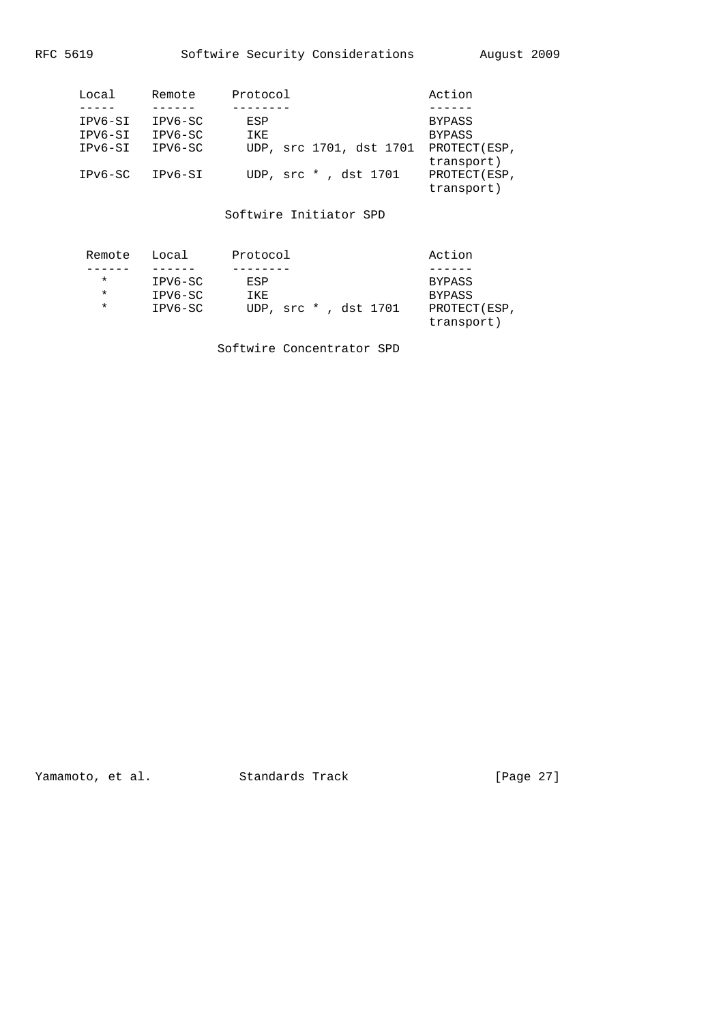|--|

| Local   | Remote  | Protocol                | Action                      |
|---------|---------|-------------------------|-----------------------------|
|         |         |                         |                             |
| IPV6-SI | IPV6-SC | ESP                     | <b>BYPASS</b>               |
| IPV6-SI | IPV6-SC | IKE                     | <b>BYPASS</b>               |
| IPv6-SI | IPV6-SC | UDP, src 1701, dst 1701 | PROTECT (ESP,<br>transport) |
| IPv6-SC | IPv6-SI | UDP, src *, dst 1701    | PROTECT (ESP,<br>transport) |

Softwire Initiator SPD

| Remote | Local   | Protocol             |  |  | Action                      |
|--------|---------|----------------------|--|--|-----------------------------|
|        |         |                      |  |  |                             |
| $\ast$ | IPV6-SC | ESP                  |  |  | BYPASS                      |
| $\ast$ | IPV6-SC | IKE                  |  |  | <b>BYPASS</b>               |
| $\ast$ | IPV6-SC | UDP, src *, dst 1701 |  |  | PROTECT (ESP,<br>transport) |

Softwire Concentrator SPD

Yamamoto, et al. Standards Track [Page 27]